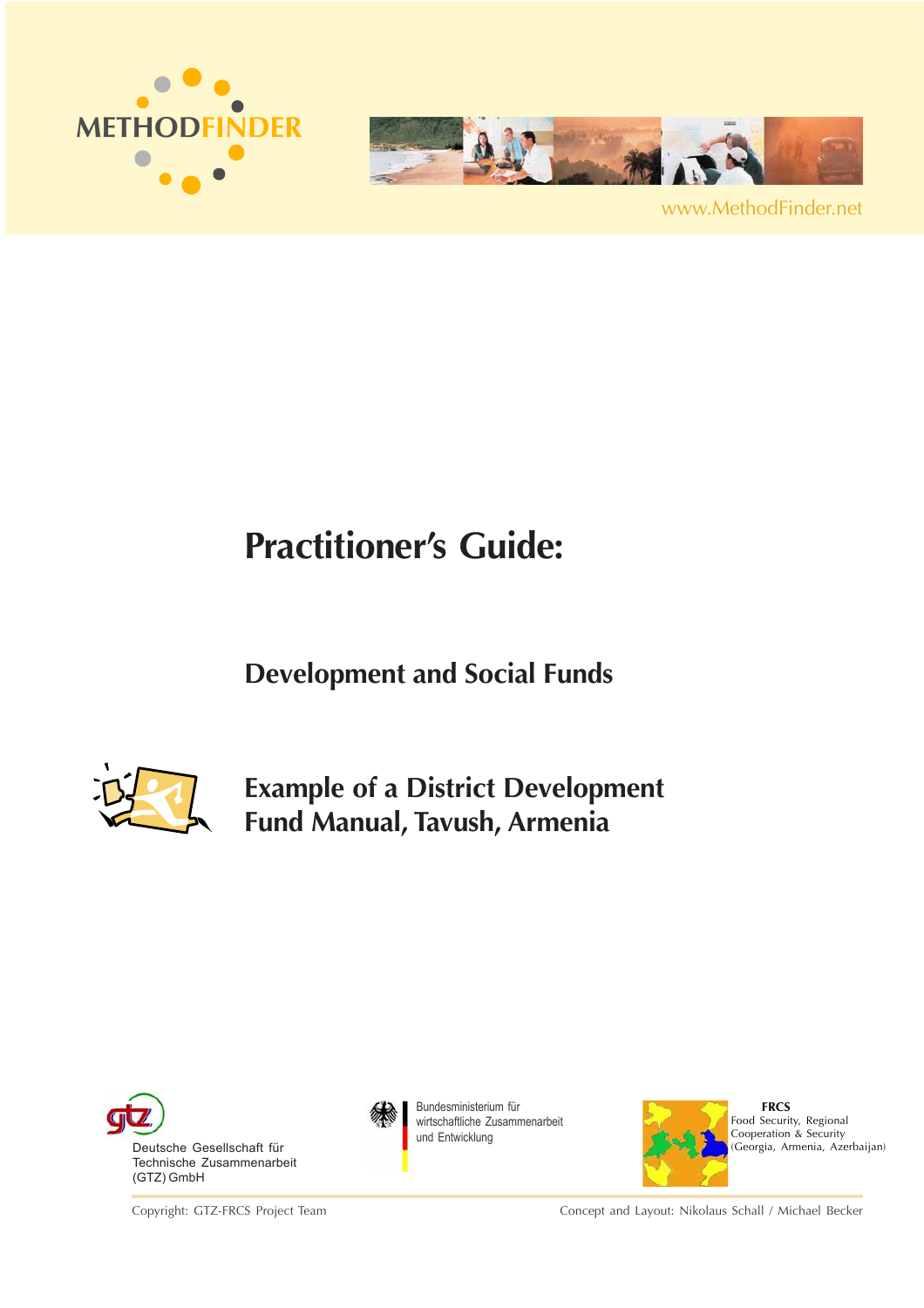



www.MethodFinder.net

# **Practitioner's Guide:**

# **Development and Social Funds**



**Example of a District Development Fund Manual, Tavush, Armenia**



Copyright: GTZ-FRCS Project Team



Bundesministerium für wirtschaftliche Zusammenarbeit und Entwicklung



 **FRCS** Food Security, Regional Cooperation & Security (Georgia, Armenia, Azerbaijan)

Concept and Layout: Nikolaus Schall / Michael Becker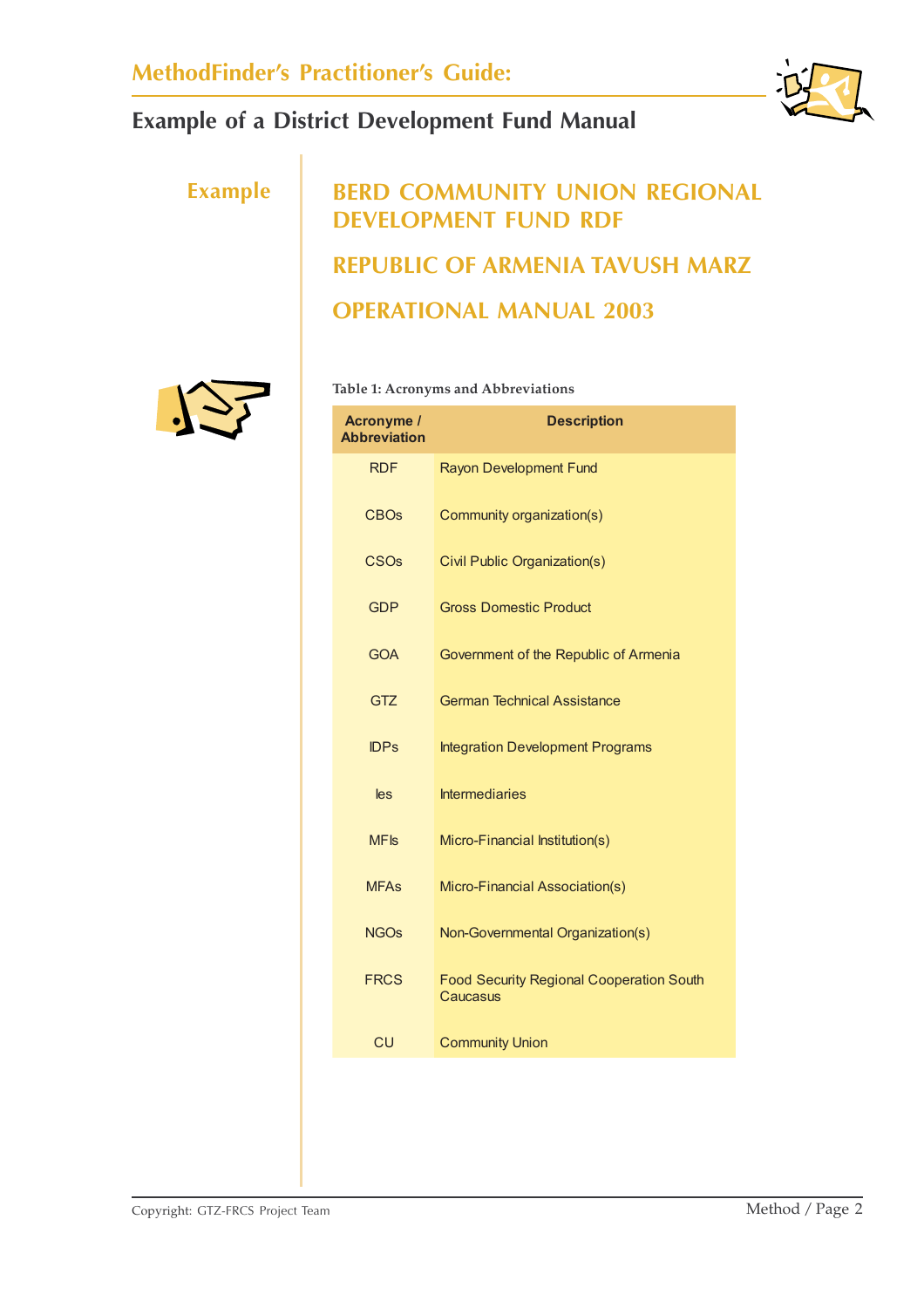

# **Example BERD COMMUNITY UNION REGIONAL DEVELOPMENT FUND RDF REPUBLIC OF ARMENIA TAVUSH MARZ OPERATIONAL MANUAL 2003**



#### **Table 1: Acronyms and Abbreviations**

| <b>Acronyme /</b><br><b>Abbreviation</b> | <b>Description</b>                                          |
|------------------------------------------|-------------------------------------------------------------|
| <b>RDF</b>                               | Rayon Development Fund                                      |
| <b>CBOs</b>                              | Community organization(s)                                   |
| <b>CSO<sub>s</sub></b>                   | Civil Public Organization(s)                                |
| <b>GDP</b>                               | <b>Gross Domestic Product</b>                               |
| <b>GOA</b>                               | Government of the Republic of Armenia                       |
| <b>GTZ</b>                               | <b>German Technical Assistance</b>                          |
| <b>IDPs</b>                              | <b>Integration Development Programs</b>                     |
| les                                      | <b>Intermediaries</b>                                       |
| <b>MF<sub>IS</sub></b>                   | Micro-Financial Institution(s)                              |
| <b>MFAs</b>                              | Micro-Financial Association(s)                              |
| <b>NGOs</b>                              | Non-Governmental Organization(s)                            |
| <b>FRCS</b>                              | <b>Food Security Regional Cooperation South</b><br>Caucasus |
| CU                                       | <b>Community Union</b>                                      |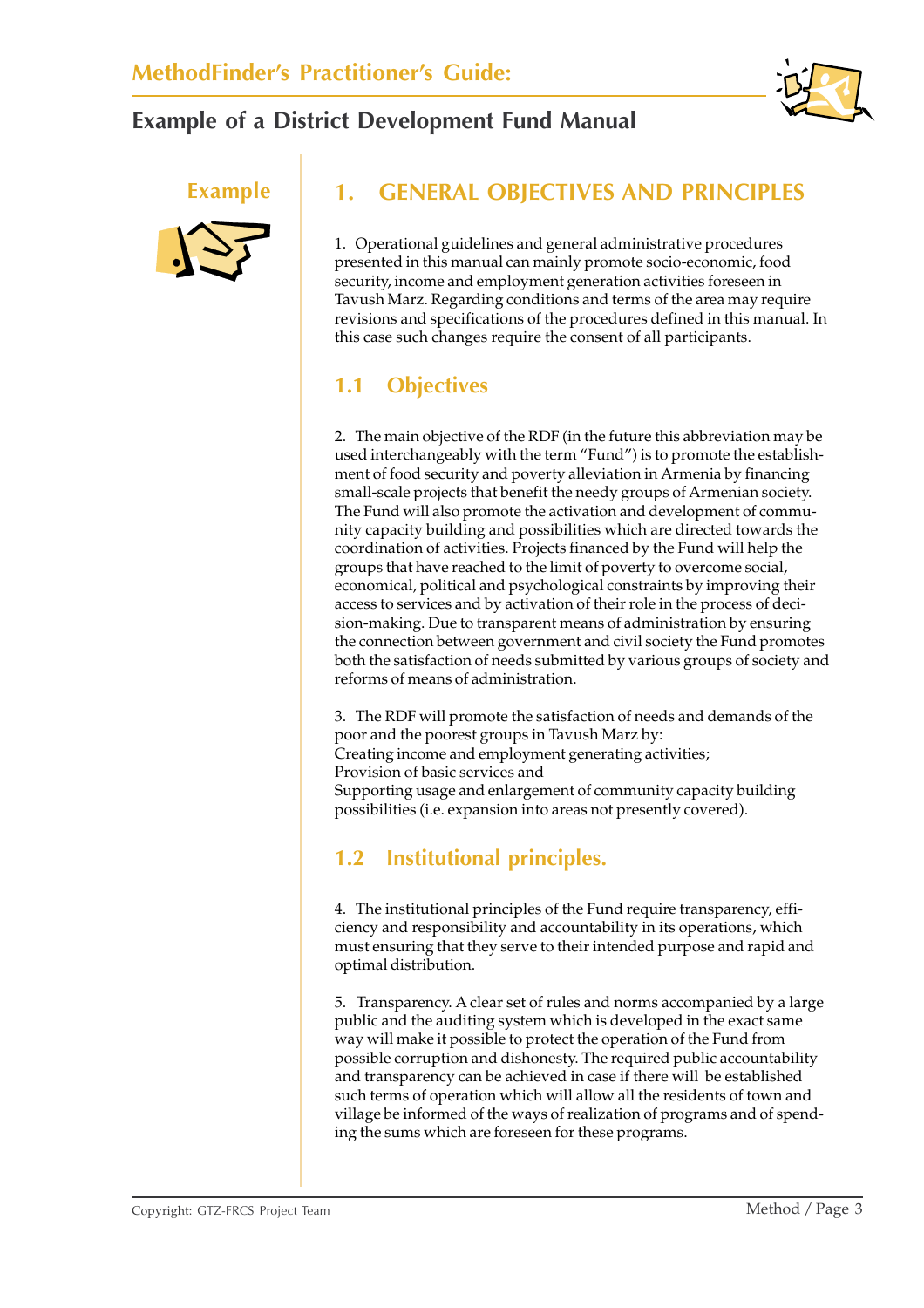



## **Example 1. GENERAL OBJECTIVES AND PRINCIPLES**

1. Operational guidelines and general administrative procedures presented in this manual can mainly promote socio-economic, food security, income and employment generation activities foreseen in Tavush Marz. Regarding conditions and terms of the area may require revisions and specifications of the procedures defined in this manual. In this case such changes require the consent of all participants.

## **1.1 Objectives**

2. The main objective of the RDF (in the future this abbreviation may be used interchangeably with the term "Fund") is to promote the establishment of food security and poverty alleviation in Armenia by financing small-scale projects that benefit the needy groups of Armenian society. The Fund will also promote the activation and development of community capacity building and possibilities which are directed towards the coordination of activities. Projects financed by the Fund will help the groups that have reached to the limit of poverty to overcome social, economical, political and psychological constraints by improving their access to services and by activation of their role in the process of decision-making. Due to transparent means of administration by ensuring the connection between government and civil society the Fund promotes both the satisfaction of needs submitted by various groups of society and reforms of means of administration.

3. The RDF will promote the satisfaction of needs and demands of the poor and the poorest groups in Tavush Marz by: Creating income and employment generating activities; Provision of basic services and Supporting usage and enlargement of community capacity building possibilities (i.e. expansion into areas not presently covered).

## **1.2 Institutional principles.**

4. The institutional principles of the Fund require transparency, efficiency and responsibility and accountability in its operations, which must ensuring that they serve to their intended purpose and rapid and optimal distribution.

5. Transparency. A clear set of rules and norms accompanied by a large public and the auditing system which is developed in the exact same way will make it possible to protect the operation of the Fund from possible corruption and dishonesty. The required public accountability and transparency can be achieved in case if there will be established such terms of operation which will allow all the residents of town and village be informed of the ways of realization of programs and of spending the sums which are foreseen for these programs.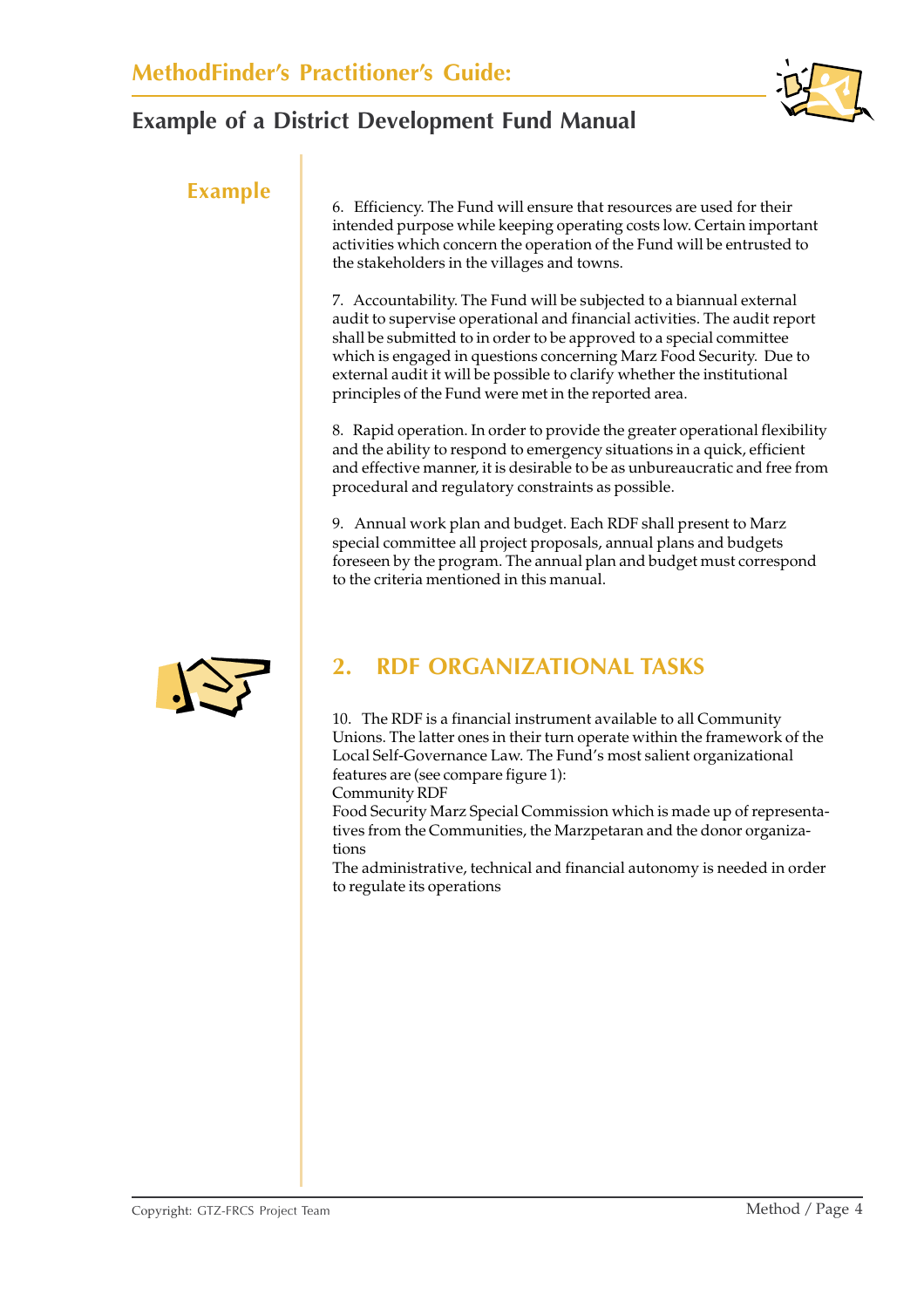

**Example** 6. Efficiency. The Fund will ensure that resources are used for their intended purpose while keeping operating costs low. Certain important activities which concern the operation of the Fund will be entrusted to the stakeholders in the villages and towns.

> 7. Accountability. The Fund will be subjected to a biannual external audit to supervise operational and financial activities. The audit report shall be submitted to in order to be approved to a special committee which is engaged in questions concerning Marz Food Security. Due to external audit it will be possible to clarify whether the institutional principles of the Fund were met in the reported area.

8. Rapid operation. In order to provide the greater operational flexibility and the ability to respond to emergency situations in a quick, efficient and effective manner, it is desirable to be as unbureaucratic and free from procedural and regulatory constraints as possible.

9. Annual work plan and budget. Each RDF shall present to Marz special committee all project proposals, annual plans and budgets foreseen by the program. The annual plan and budget must correspond to the criteria mentioned in this manual.

## **2. RDF ORGANIZATIONAL TASKS**

10. The RDF is a financial instrument available to all Community Unions. The latter ones in their turn operate within the framework of the Local Self-Governance Law. The Fund's most salient organizational features are (see compare figure 1):

Community RDF

Food Security Marz Special Commission which is made up of representatives from the Communities, the Marzpetaran and the donor organizations

The administrative, technical and financial autonomy is needed in order to regulate its operations

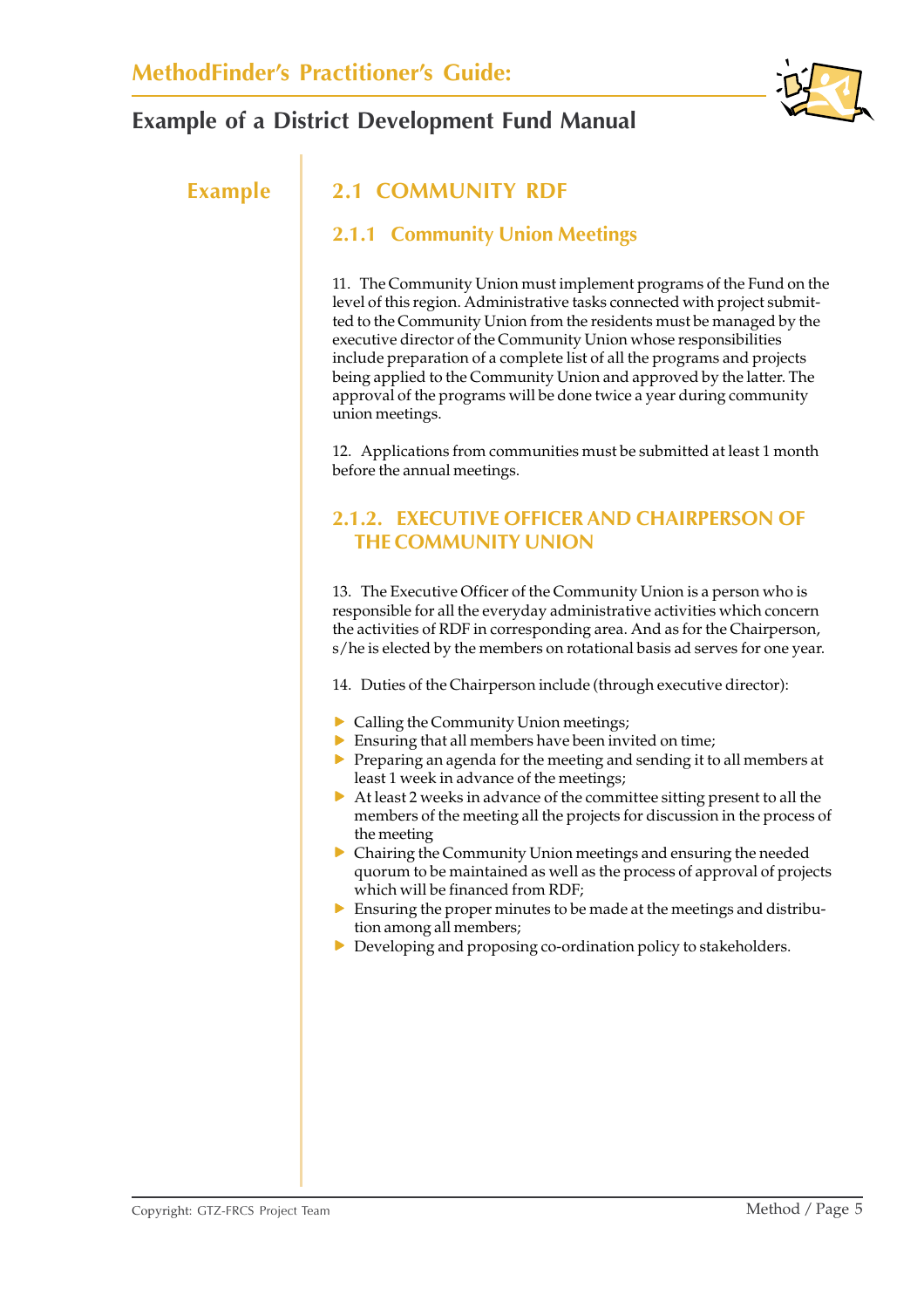

## **Example 2.1 COMMUNITY RDF**

#### **2.1.1 Community Union Meetings**

11. The Community Union must implement programs of the Fund on the level of this region. Administrative tasks connected with project submitted to the Community Union from the residents must be managed by the executive director of the Community Union whose responsibilities include preparation of a complete list of all the programs and projects being applied to the Community Union and approved by the latter. The approval of the programs will be done twice a year during community union meetings.

12. Applications from communities must be submitted at least 1 month before the annual meetings.

#### **2.1.2. EXECUTIVE OFFICER AND CHAIRPERSON OF THE COMMUNITY UNION**

13. The Executive Officer of the Community Union is a person who is responsible for all the everyday administrative activities which concern the activities of RDF in corresponding area. And as for the Chairperson, s/he is elected by the members on rotational basis ad serves for one year.

14. Duties of the Chairperson include (through executive director):

- $\triangleright$  Calling the Community Union meetings;
- $\blacktriangleright$  Ensuring that all members have been invited on time;
- $\triangleright$  Preparing an agenda for the meeting and sending it to all members at least 1 week in advance of the meetings;
- $\triangleright$  At least 2 weeks in advance of the committee sitting present to all the members of the meeting all the projects for discussion in the process of the meeting
- $\triangleright$  Chairing the Community Union meetings and ensuring the needed quorum to be maintained as well as the process of approval of projects which will be financed from RDF;
- $\triangleright$  Ensuring the proper minutes to be made at the meetings and distribution among all members;
- $\triangleright$  Developing and proposing co-ordination policy to stakeholders.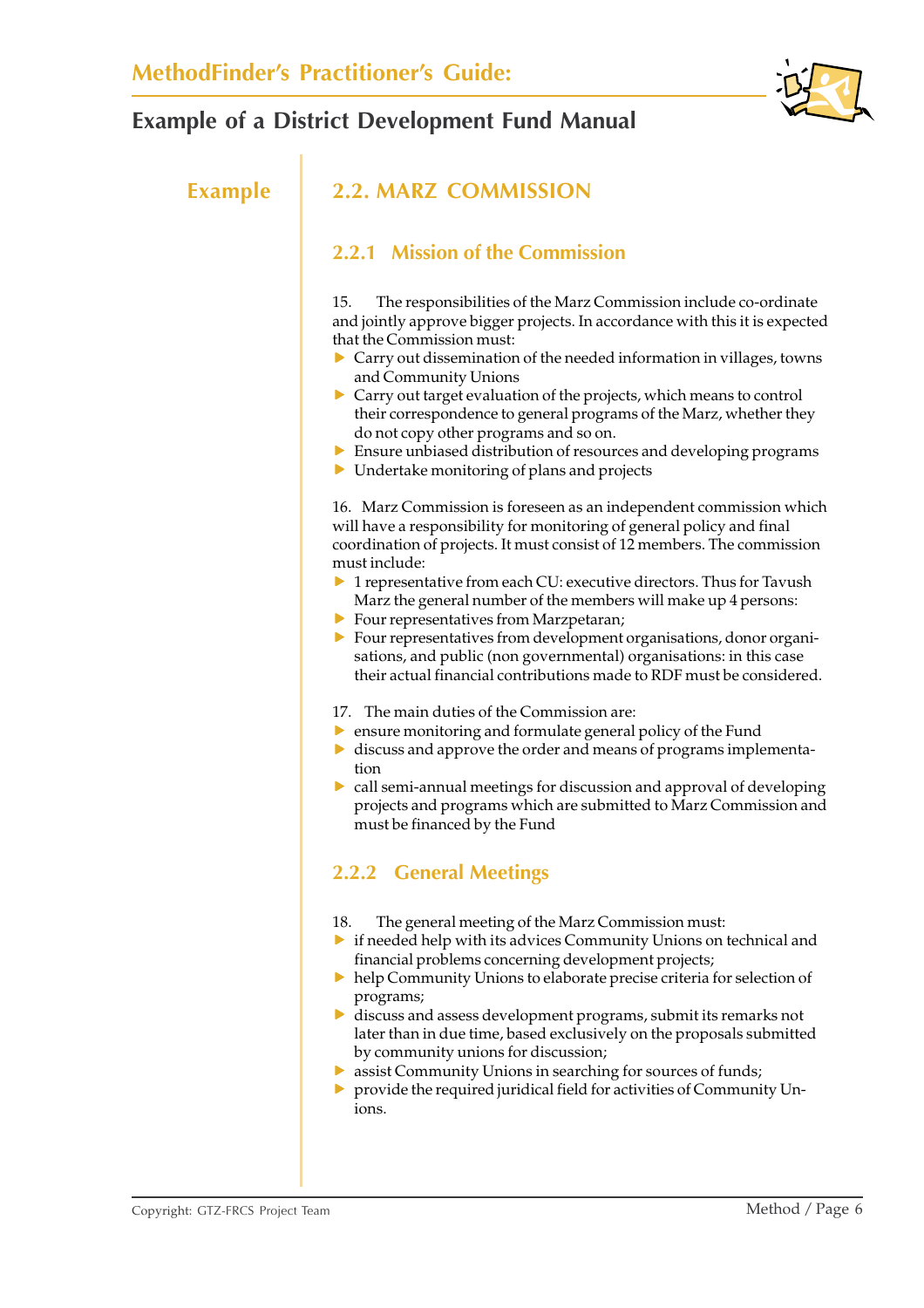

### **Example 2.2. MARZ COMMISSION**

#### **2.2.1 Mission of the Commission**

15. The responsibilities of the Marz Commission include co-ordinate and jointly approve bigger projects. In accordance with this it is expected that the Commission must:

- $\triangleright$  Carry out dissemination of the needed information in villages, towns and Community Unions
- $\triangleright$  Carry out target evaluation of the projects, which means to control their correspondence to general programs of the Marz, whether they do not copy other programs and so on.
- $\triangleright$  Ensure unbiased distribution of resources and developing programs
- $\triangleright$  Undertake monitoring of plans and projects

16. Marz Commission is foreseen as an independent commission which will have a responsibility for monitoring of general policy and final coordination of projects. It must consist of 12 members. The commission must include:

- $\triangleright$  1 representative from each CU: executive directors. Thus for Tavush Marz the general number of the members will make up 4 persons:
- $\blacktriangleright$  Four representatives from Marzpetaran;
- $\triangleright$  Four representatives from development organisations, donor organisations, and public (non governmental) organisations: in this case their actual financial contributions made to RDF must be considered.
- 17. The main duties of the Commission are:
- $\triangleright$  ensure monitoring and formulate general policy of the Fund
- $\triangleright$  discuss and approve the order and means of programs implementation
- $\triangleright$  call semi-annual meetings for discussion and approval of developing projects and programs which are submitted to Marz Commission and must be financed by the Fund

### **2.2.2 General Meetings**

- 18. The general meeting of the Marz Commission must:
- $\triangleright$  if needed help with its advices Community Unions on technical and financial problems concerning development projects;
- $\blacktriangleright$  help Community Unions to elaborate precise criteria for selection of programs;
- $\triangleright$  discuss and assess development programs, submit its remarks not later than in due time, based exclusively on the proposals submitted by community unions for discussion;
- $\triangleright$  assist Community Unions in searching for sources of funds;
- provide the required juridical field for activities of Community Unions.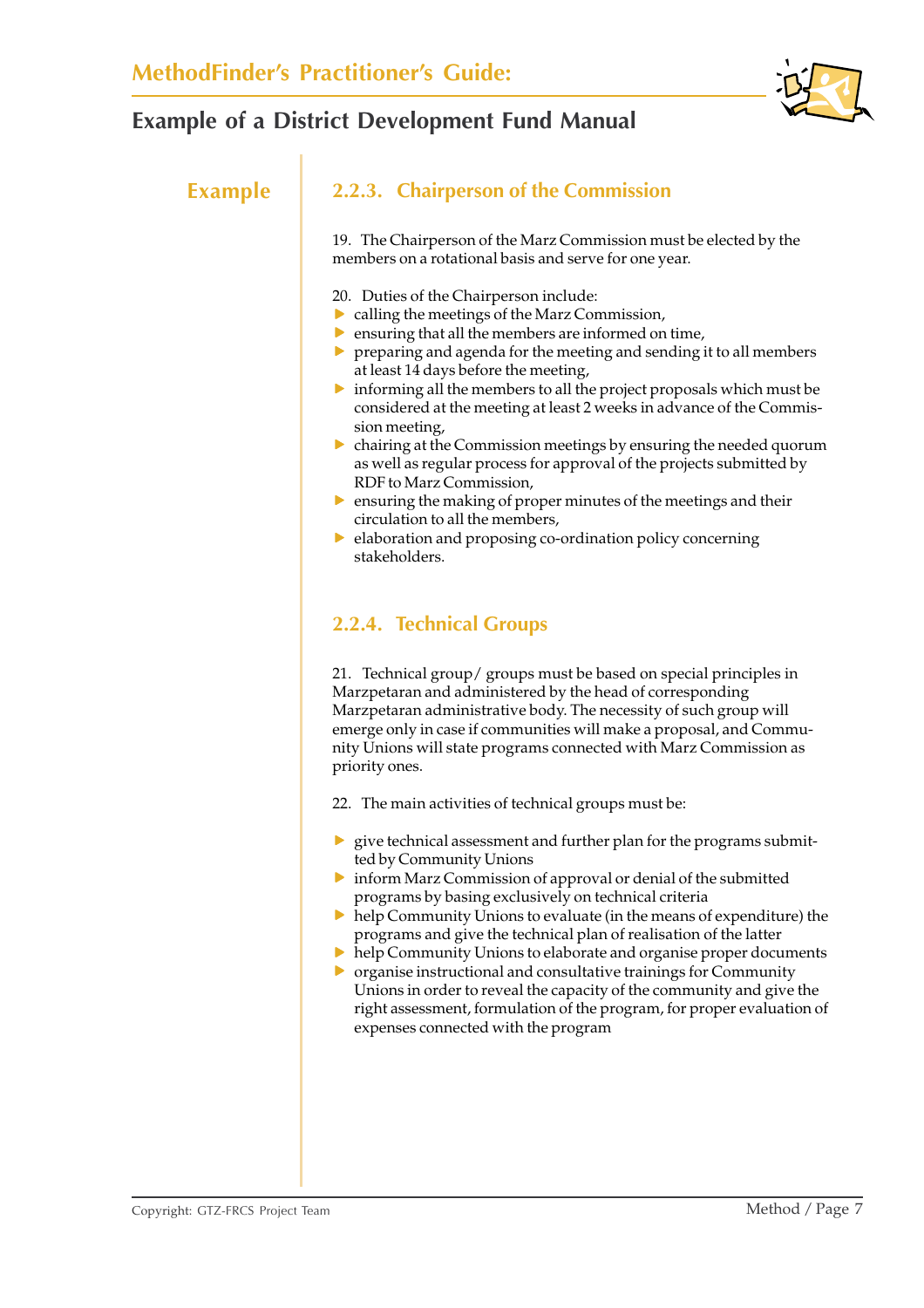

### **Example 2.2.3. Chairperson of the Commission**

19. The Chairperson of the Marz Commission must be elected by the members on a rotational basis and serve for one year.

- 20. Duties of the Chairperson include:
- $\triangleright$  calling the meetings of the Marz Commission,
- $\blacktriangleright$  ensuring that all the members are informed on time,
- $\triangleright$  preparing and agenda for the meeting and sending it to all members at least 14 days before the meeting,
- $\triangleright$  informing all the members to all the project proposals which must be considered at the meeting at least 2 weeks in advance of the Commission meeting,
- $\triangleright$  chairing at the Commission meetings by ensuring the needed quorum as well as regular process for approval of the projects submitted by RDF to Marz Commission,
- $\triangleright$  ensuring the making of proper minutes of the meetings and their circulation to all the members,
- $\triangleright$  elaboration and proposing co-ordination policy concerning stakeholders.

### **2.2.4. Technical Groups**

21. Technical group/ groups must be based on special principles in Marzpetaran and administered by the head of corresponding Marzpetaran administrative body. The necessity of such group will emerge only in case if communities will make a proposal, and Community Unions will state programs connected with Marz Commission as priority ones.

22. The main activities of technical groups must be:

- $\triangleright$  give technical assessment and further plan for the programs submitted by Community Unions
- $\triangleright$  inform Marz Commission of approval or denial of the submitted programs by basing exclusively on technical criteria
- $\blacktriangleright$  help Community Unions to evaluate (in the means of expenditure) the programs and give the technical plan of realisation of the latter
- $\triangleright$  help Community Unions to elaborate and organise proper documents
- $\triangleright$  organise instructional and consultative trainings for Community Unions in order to reveal the capacity of the community and give the right assessment, formulation of the program, for proper evaluation of expenses connected with the program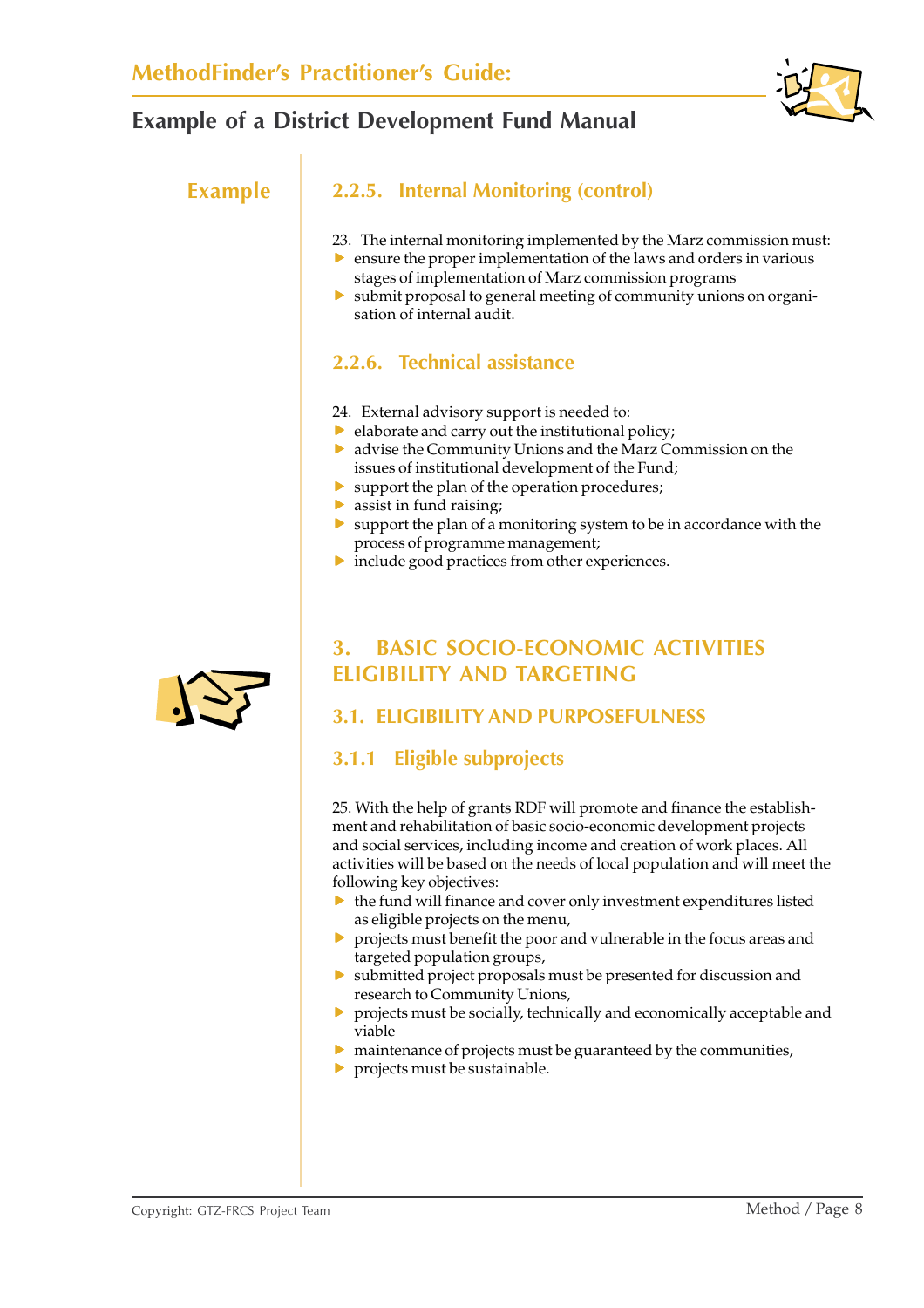

#### **Example 2.2.5. Internal Monitoring (control)**

- 23. The internal monitoring implemented by the Marz commission must:
- $\triangleright$  ensure the proper implementation of the laws and orders in various stages of implementation of Marz commission programs
- $\triangleright$  submit proposal to general meeting of community unions on organisation of internal audit.

### **2.2.6. Technical assistance**

- 24. External advisory support is needed to:
- $\blacktriangleright$  elaborate and carry out the institutional policy;
- $\triangleright$  advise the Community Unions and the Marz Commission on the issues of institutional development of the Fund;
- $\blacktriangleright$  support the plan of the operation procedures;
- $\blacktriangleright$  assist in fund raising;
- $\triangleright$  support the plan of a monitoring system to be in accordance with the process of programme management;
- $\blacktriangleright$  include good practices from other experiences.



## **3. BASIC SOCIO-ECONOMIC ACTIVITIES ELIGIBILITY AND TARGETING**

### **3.1. ELIGIBILITY AND PURPOSEFULNESS**

### **3.1.1 Eligible subprojects**

25. With the help of grants RDF will promote and finance the establishment and rehabilitation of basic socio-economic development projects and social services, including income and creation of work places. All activities will be based on the needs of local population and will meet the following key objectives:

- $\blacktriangleright$  the fund will finance and cover only investment expenditures listed as eligible projects on the menu,
- $\triangleright$  projects must benefit the poor and vulnerable in the focus areas and targeted population groups,
- $\triangleright$  submitted project proposals must be presented for discussion and research to Community Unions,
- $\triangleright$  projects must be socially, technically and economically acceptable and viable
- $\blacktriangleright$  maintenance of projects must be guaranteed by the communities,
- $\blacktriangleright$  projects must be sustainable.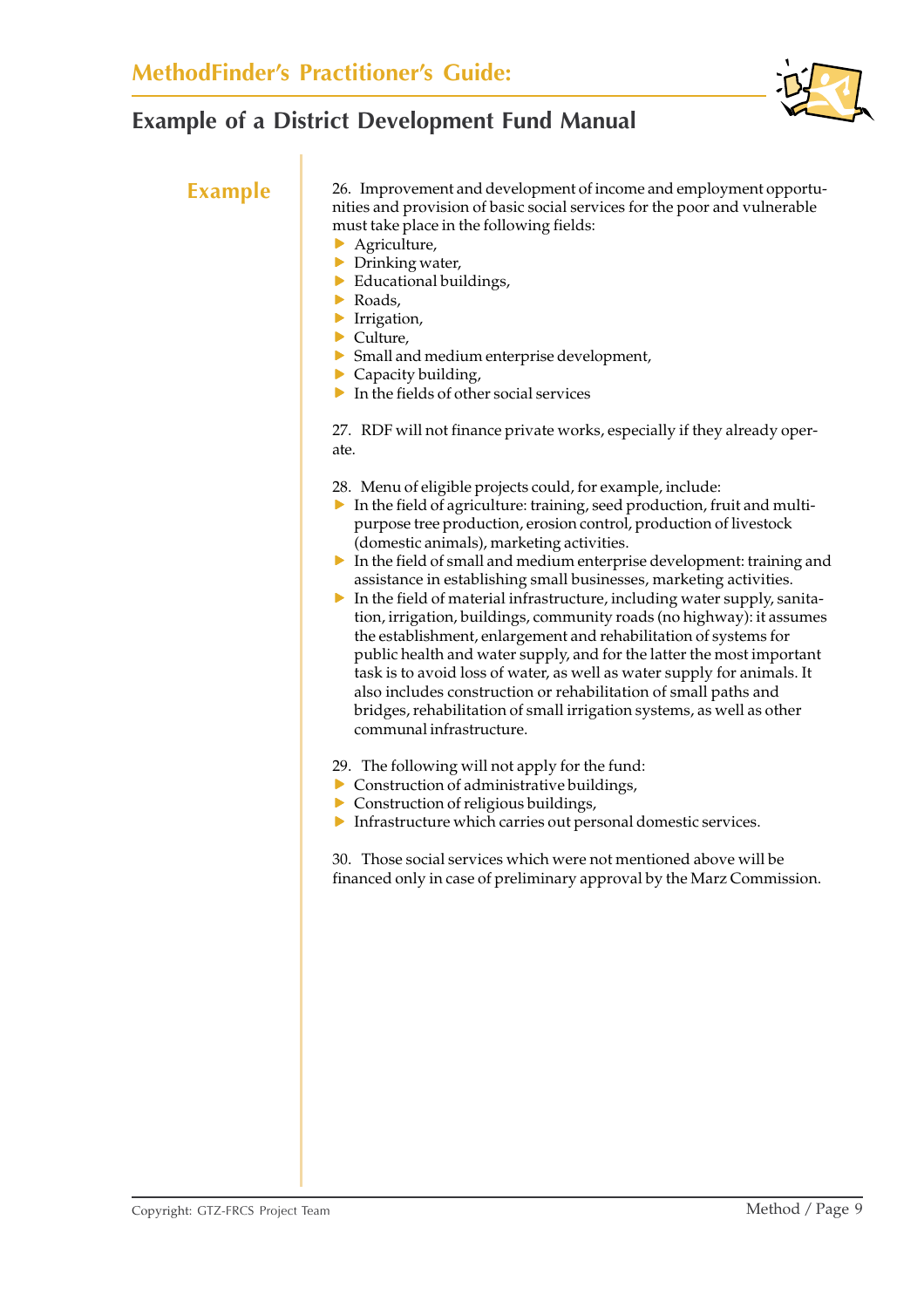

**Example** 26. Improvement and development of income and employment opportunities and provision of basic social services for the poor and vulnerable must take place in the following fields:

- $\blacktriangleright$  Agriculture,
- $\triangleright$  Drinking water,
- $\blacktriangleright$  Educational buildings,
- $\triangleright$  Roads,
- $\blacktriangleright$  Irrigation,
- $\blacktriangleright$  Culture.
- $\triangleright$  Small and medium enterprise development,
- $\blacktriangleright$  Capacity building,
- $\blacktriangleright$  In the fields of other social services

27. RDF will not finance private works, especially if they already operate.

- 28. Menu of eligible projects could, for example, include:
- $\triangleright$  In the field of agriculture: training, seed production, fruit and multipurpose tree production, erosion control, production of livestock (domestic animals), marketing activities.
- $\triangleright$  In the field of small and medium enterprise development: training and assistance in establishing small businesses, marketing activities.
- $\blacktriangleright$  In the field of material infrastructure, including water supply, sanitation, irrigation, buildings, community roads (no highway): it assumes the establishment, enlargement and rehabilitation of systems for public health and water supply, and for the latter the most important task is to avoid loss of water, as well as water supply for animals. It also includes construction or rehabilitation of small paths and bridges, rehabilitation of small irrigation systems, as well as other communal infrastructure.
- 29. The following will not apply for the fund:
- $\triangleright$  Construction of administrative buildings,
- $\triangleright$  Construction of religious buildings,
- $\blacktriangleright$  Infrastructure which carries out personal domestic services.

30. Those social services which were not mentioned above will be financed only in case of preliminary approval by the Marz Commission.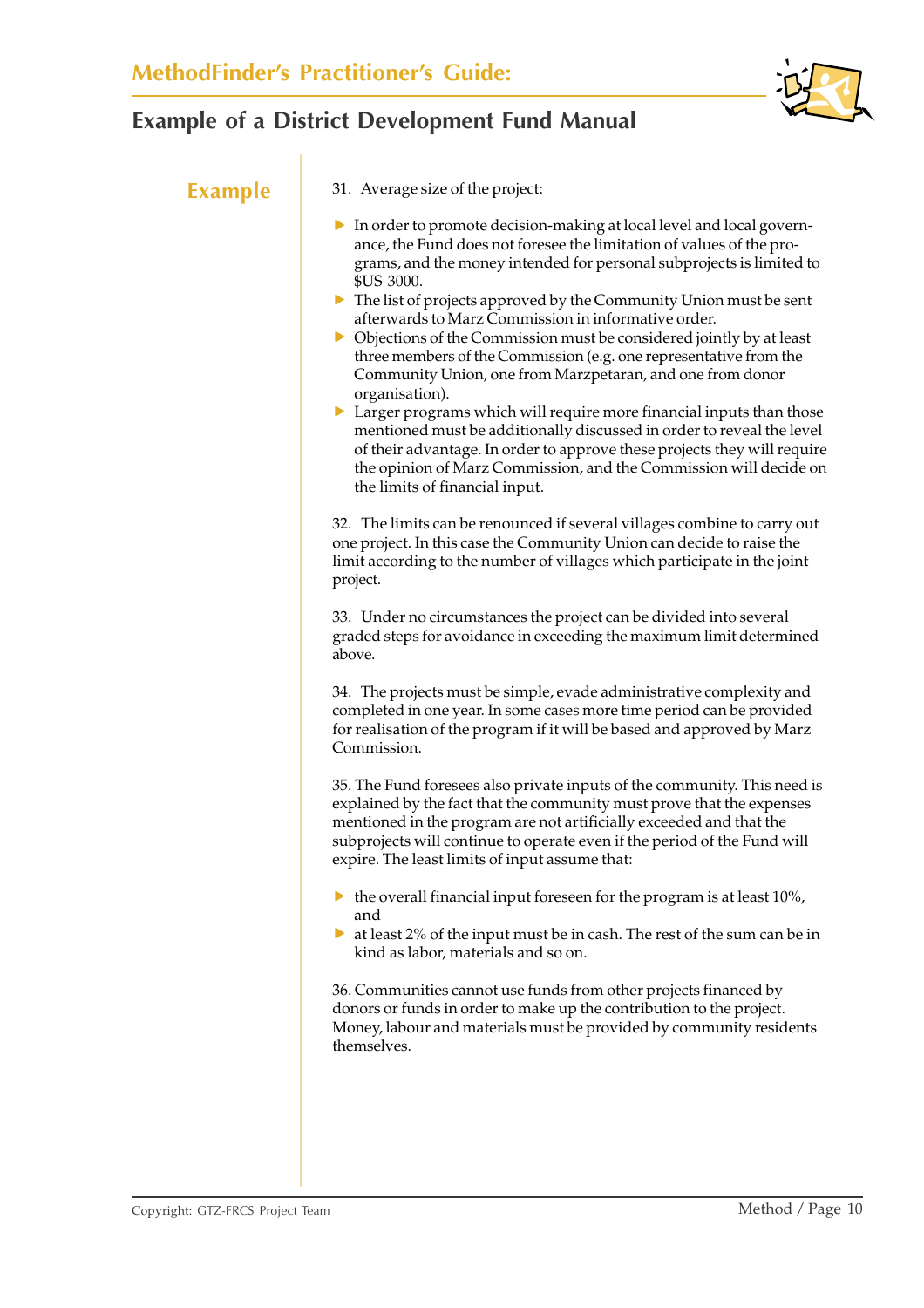

**Example** 31. Average size of the project:

- $\triangleright$  In order to promote decision-making at local level and local governance, the Fund does not foresee the limitation of values of the programs, and the money intended for personal subprojects is limited to \$US 3000.
- $\triangleright$  The list of projects approved by the Community Union must be sent afterwards to Marz Commission in informative order.
- $\triangleright$  Objections of the Commission must be considered jointly by at least three members of the Commission (e.g. one representative from the Community Union, one from Marzpetaran, and one from donor organisation).
- $\triangleright$  Larger programs which will require more financial inputs than those mentioned must be additionally discussed in order to reveal the level of their advantage. In order to approve these projects they will require the opinion of Marz Commission, and the Commission will decide on the limits of financial input.

32. The limits can be renounced if several villages combine to carry out one project. In this case the Community Union can decide to raise the limit according to the number of villages which participate in the joint project.

33. Under no circumstances the project can be divided into several graded steps for avoidance in exceeding the maximum limit determined above.

34. The projects must be simple, evade administrative complexity and completed in one year. In some cases more time period can be provided for realisation of the program if it will be based and approved by Marz Commission.

35. The Fund foresees also private inputs of the community. This need is explained by the fact that the community must prove that the expenses mentioned in the program are not artificially exceeded and that the subprojects will continue to operate even if the period of the Fund will expire. The least limits of input assume that:

- $\blacktriangleright$  the overall financial input foreseen for the program is at least 10%, and
- $\triangleright$  at least 2% of the input must be in cash. The rest of the sum can be in kind as labor, materials and so on.

36. Communities cannot use funds from other projects financed by donors or funds in order to make up the contribution to the project. Money, labour and materials must be provided by community residents themselves.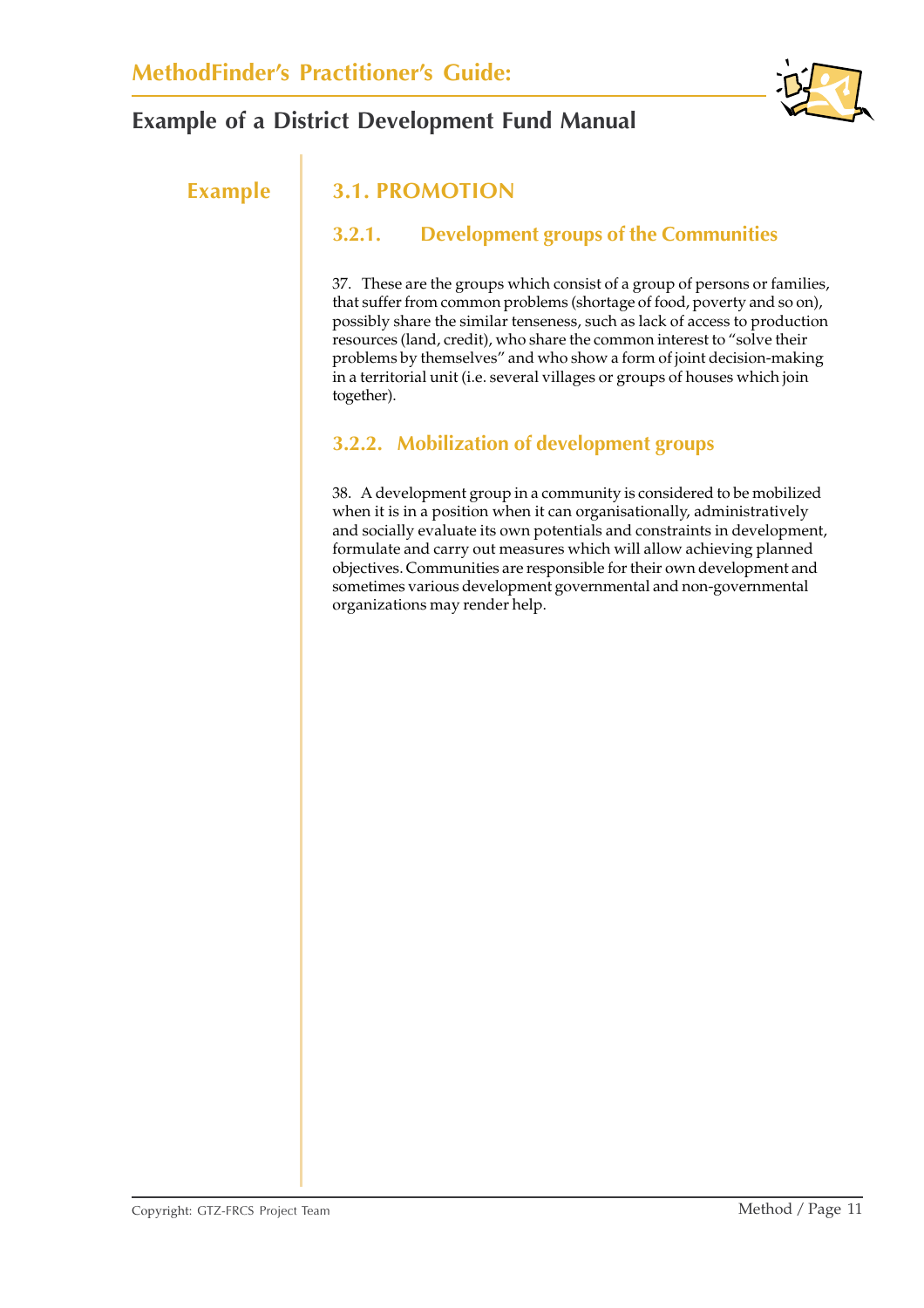

## **Example 3.1. PROMOTION**

### **3.2.1. Development groups of the Communities**

37. These are the groups which consist of a group of persons or families, that suffer from common problems (shortage of food, poverty and so on), possibly share the similar tenseness, such as lack of access to production resources (land, credit), who share the common interest to "solve their problems by themselves" and who show a form of joint decision-making in a territorial unit (i.e. several villages or groups of houses which join together).

## **3.2.2. Mobilization of development groups**

38. A development group in a community is considered to be mobilized when it is in a position when it can organisationally, administratively and socially evaluate its own potentials and constraints in development, formulate and carry out measures which will allow achieving planned objectives. Communities are responsible for their own development and sometimes various development governmental and non-governmental organizations may render help.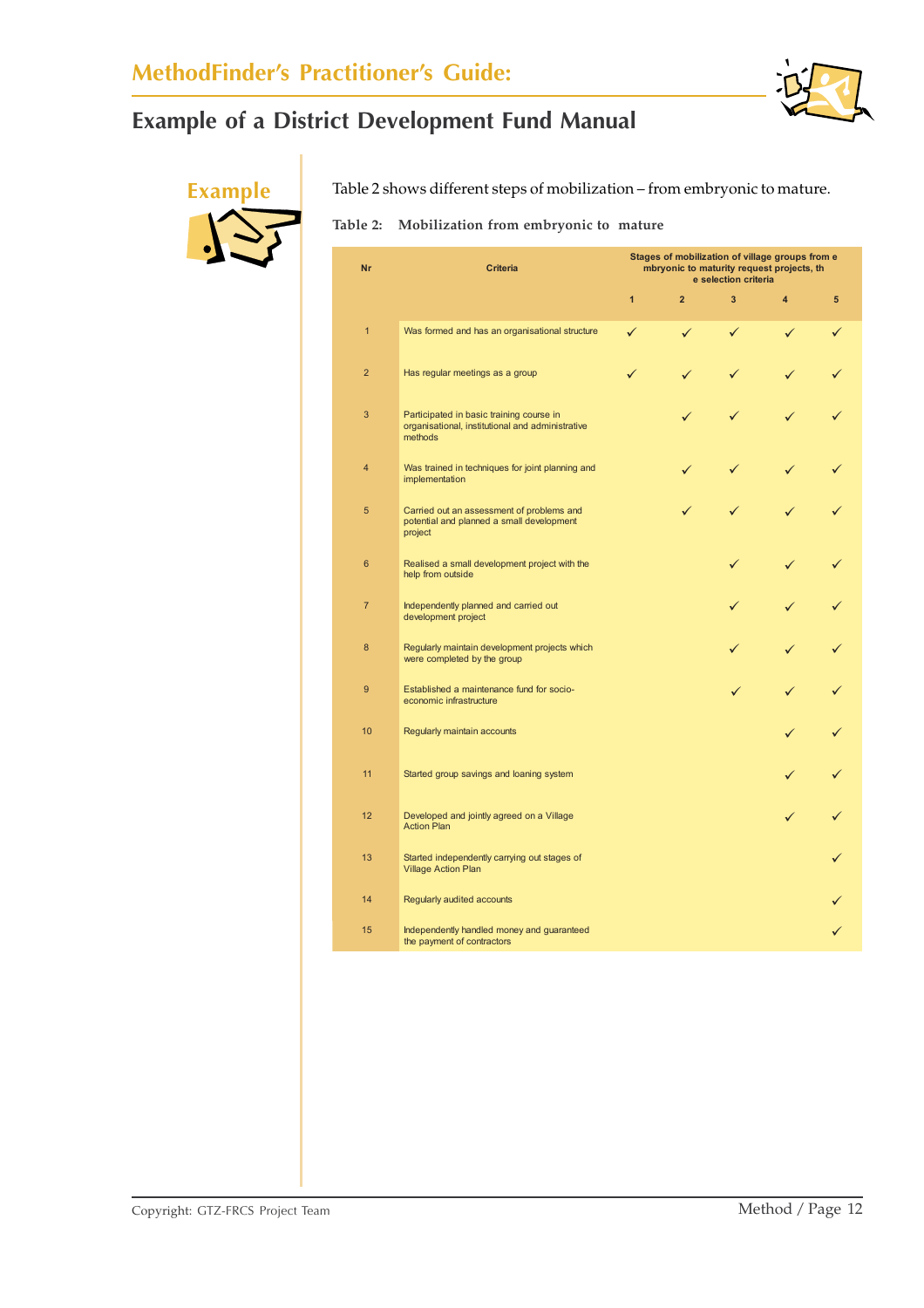

**Example** Table 2 shows different steps of mobilization – from embryonic to mature.

**Table 2: Mobilization from embryonic to mature**

| Nr             | <b>Criteria</b>                                                                                         | Stages of mobilization of village groups from e<br>mbryonic to maturity request projects, th<br>e selection criteria |                |   |   |   |
|----------------|---------------------------------------------------------------------------------------------------------|----------------------------------------------------------------------------------------------------------------------|----------------|---|---|---|
|                |                                                                                                         | $\overline{1}$                                                                                                       | $\overline{2}$ | 3 | 4 | 5 |
| $\overline{1}$ | Was formed and has an organisational structure                                                          | ✓                                                                                                                    | ✓              | ✓ | ✓ |   |
| $\overline{2}$ | Has regular meetings as a group                                                                         |                                                                                                                      |                |   |   |   |
| 3              | Participated in basic training course in<br>organisational, institutional and administrative<br>methods |                                                                                                                      |                |   |   |   |
| 4              | Was trained in techniques for joint planning and<br>implementation                                      |                                                                                                                      |                |   |   |   |
| 5              | Carried out an assessment of problems and<br>potential and planned a small development<br>project       |                                                                                                                      |                |   |   |   |
| 6              | Realised a small development project with the<br>help from outside                                      |                                                                                                                      |                |   |   |   |
| $\overline{7}$ | Independently planned and carried out<br>development project                                            |                                                                                                                      |                |   |   |   |
| 8              | Regularly maintain development projects which<br>were completed by the group                            |                                                                                                                      |                |   |   |   |
| 9              | Established a maintenance fund for socio-<br>economic infrastructure                                    |                                                                                                                      |                |   |   |   |
| 10             | Regularly maintain accounts                                                                             |                                                                                                                      |                |   |   |   |
| 11             | Started group savings and loaning system                                                                |                                                                                                                      |                |   |   |   |
| 12             | Developed and jointly agreed on a Village<br><b>Action Plan</b>                                         |                                                                                                                      |                |   |   |   |
| 13             | Started independently carrying out stages of<br><b>Village Action Plan</b>                              |                                                                                                                      |                |   |   |   |
| 14             | Regularly audited accounts                                                                              |                                                                                                                      |                |   |   |   |
| 15             | Independently handled money and guaranteed<br>the payment of contractors                                |                                                                                                                      |                |   |   |   |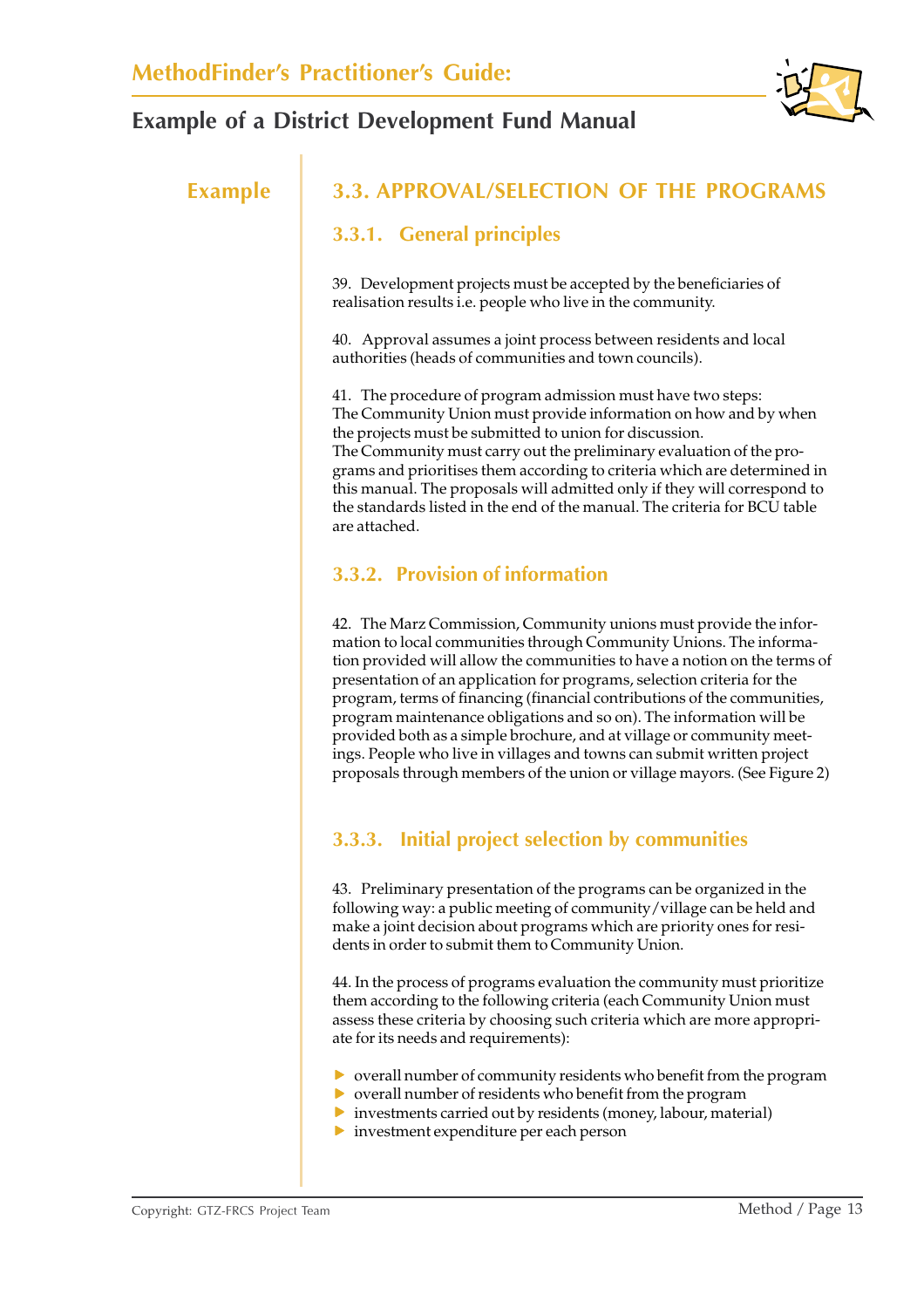

## **Example 3.3. APPROVAL/SELECTION OF THE PROGRAMS**

### **3.3.1. General principles**

39. Development projects must be accepted by the beneficiaries of realisation results i.e. people who live in the community.

40. Approval assumes a joint process between residents and local authorities (heads of communities and town councils).

41. The procedure of program admission must have two steps: The Community Union must provide information on how and by when the projects must be submitted to union for discussion. The Community must carry out the preliminary evaluation of the programs and prioritises them according to criteria which are determined in this manual. The proposals will admitted only if they will correspond to the standards listed in the end of the manual. The criteria for BCU table are attached.

#### **3.3.2. Provision of information**

42. The Marz Commission, Community unions must provide the information to local communities through Community Unions. The information provided will allow the communities to have a notion on the terms of presentation of an application for programs, selection criteria for the program, terms of financing (financial contributions of the communities, program maintenance obligations and so on). The information will be provided both as a simple brochure, and at village or community meetings. People who live in villages and towns can submit written project proposals through members of the union or village mayors. (See Figure 2)

### **3.3.3. Initial project selection by communities**

43. Preliminary presentation of the programs can be organized in the following way: a public meeting of community/village can be held and make a joint decision about programs which are priority ones for residents in order to submit them to Community Union.

44. In the process of programs evaluation the community must prioritize them according to the following criteria (each Community Union must assess these criteria by choosing such criteria which are more appropriate for its needs and requirements):

- $\triangleright$  overall number of community residents who benefit from the program
- $\triangleright$  overall number of residents who benefit from the program
- $\triangleright$  investments carried out by residents (money, labour, material)
- $\triangleright$  investment expenditure per each person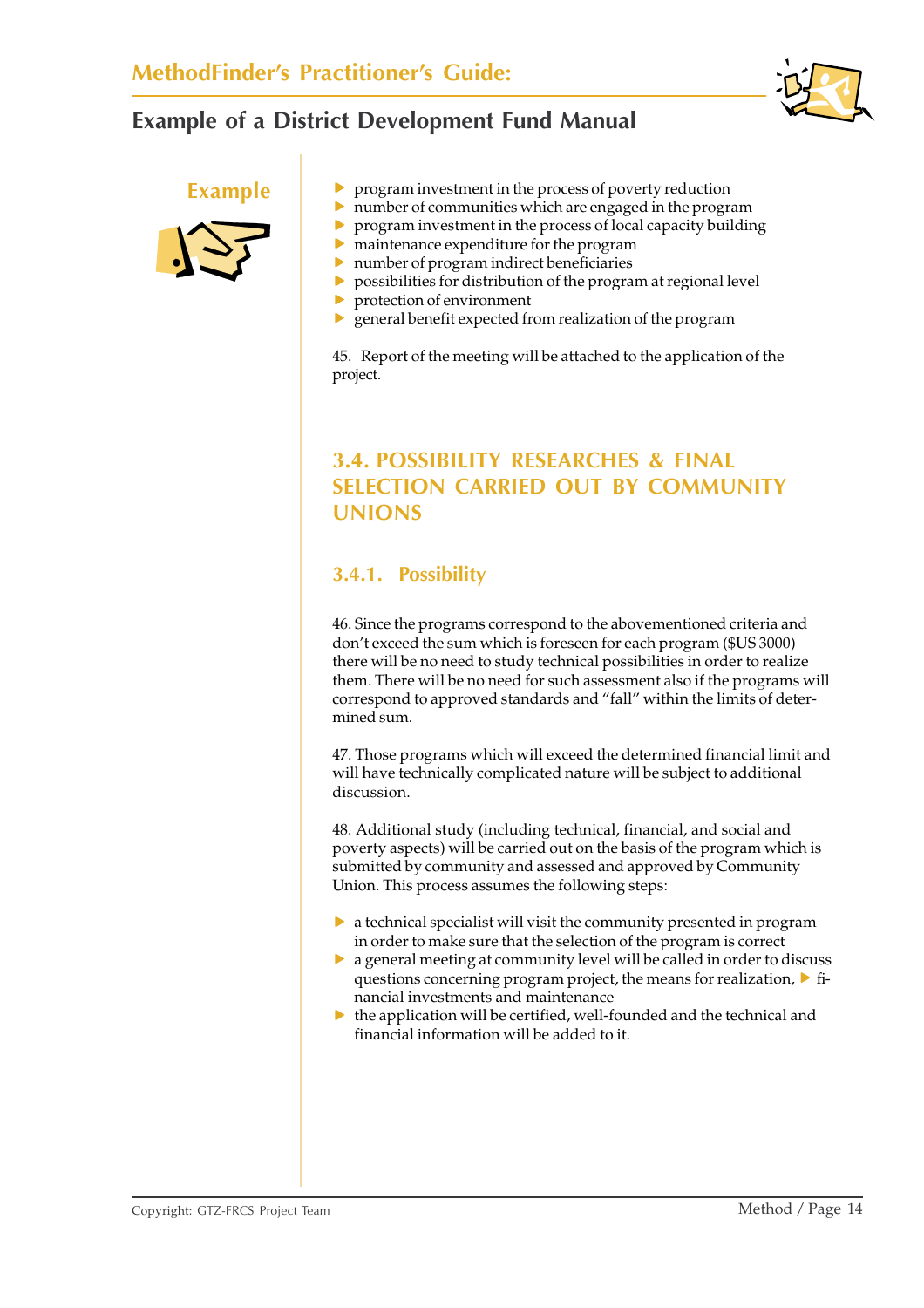



- **Example Figure F** program investment in the process of poverty reduction
	- $\triangleright$  number of communities which are engaged in the program
	- $\triangleright$  program investment in the process of local capacity building
	- $\triangleright$  maintenance expenditure for the program
	- $\triangleright$  number of program indirect beneficiaries
	- $\triangleright$  possibilities for distribution of the program at regional level
	- $\blacktriangleright$  protection of environment
	- $\triangleright$  general benefit expected from realization of the program

45. Report of the meeting will be attached to the application of the project.

## **3.4. POSSIBILITY RESEARCHES & FINAL SELECTION CARRIED OUT BY COMMUNITY UNIONS**

#### **3.4.1. Possibility**

46. Since the programs correspond to the abovementioned criteria and don't exceed the sum which is foreseen for each program (\$US 3000) there will be no need to study technical possibilities in order to realize them. There will be no need for such assessment also if the programs will correspond to approved standards and "fall" within the limits of determined sum.

47. Those programs which will exceed the determined financial limit and will have technically complicated nature will be subject to additional discussion.

48. Additional study (including technical, financial, and social and poverty aspects) will be carried out on the basis of the program which is submitted by community and assessed and approved by Community Union. This process assumes the following steps:

- $\triangleright$  a technical specialist will visit the community presented in program in order to make sure that the selection of the program is correct
- $\triangleright$  a general meeting at community level will be called in order to discuss questions concerning program project, the means for realization,  $\triangleright$  financial investments and maintenance
- $\blacktriangleright$  the application will be certified, well-founded and the technical and financial information will be added to it.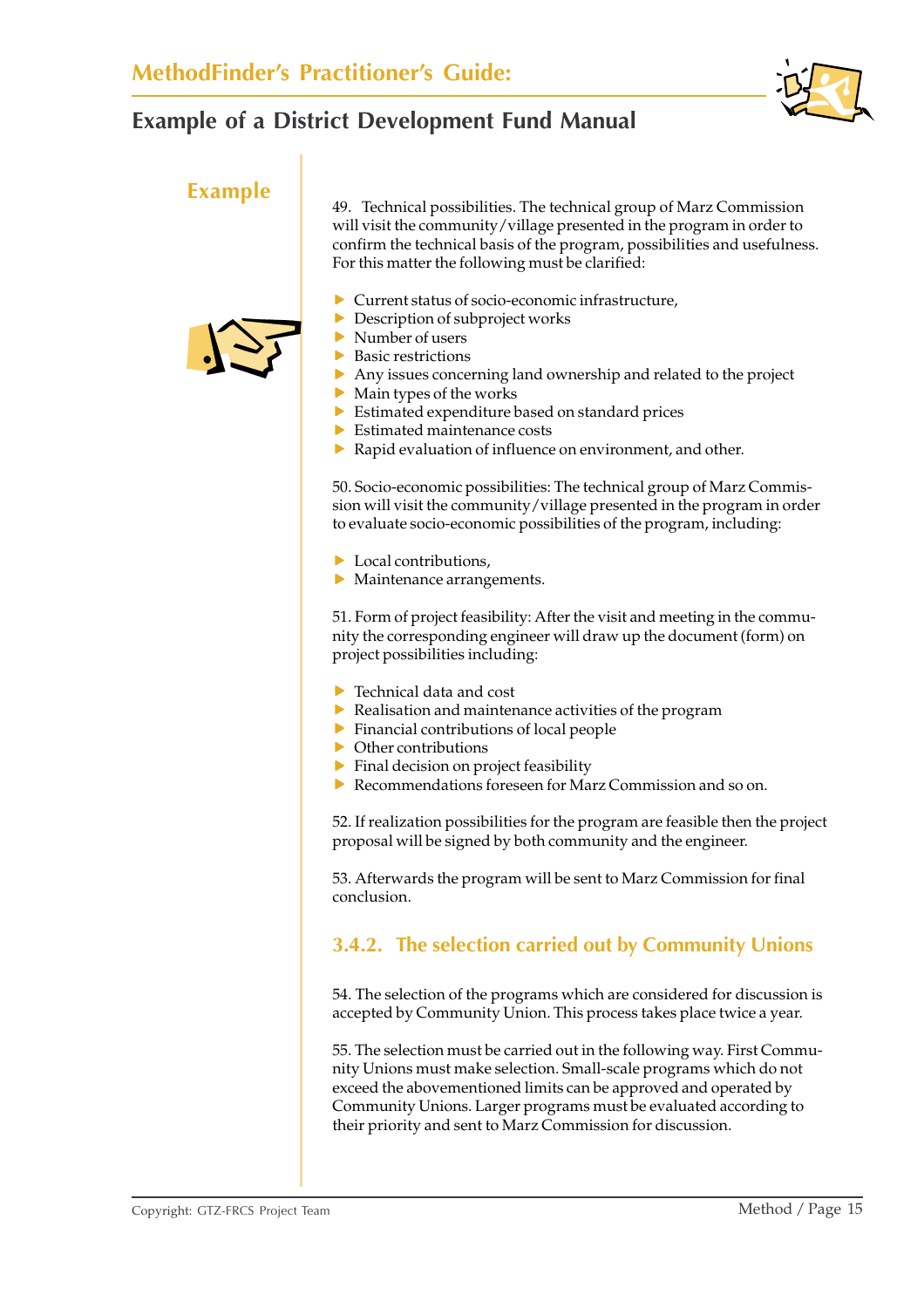

**Example** 49. Technical possibilities. The technical group of Marz Commission will visit the community/village presented in the program in order to confirm the technical basis of the program, possibilities and usefulness. For this matter the following must be clarified:

- $\blacktriangleright$  Current status of socio-economic infrastructure,
- $\triangleright$  Description of subproject works
- $\blacktriangleright$  Number of users
- $\blacktriangleright$  Basic restrictions
- $\triangleright$  Any issues concerning land ownership and related to the project
- $\blacktriangleright$  Main types of the works
- $\blacktriangleright$  Estimated expenditure based on standard prices
- $\blacktriangleright$  Estimated maintenance costs
- $\blacktriangleright$  Rapid evaluation of influence on environment, and other.

50. Socio-economic possibilities: The technical group of Marz Commission will visit the community/village presented in the program in order to evaluate socio-economic possibilities of the program, including:

- $\blacktriangleright$  Local contributions.
- $\blacktriangleright$  Maintenance arrangements.

51. Form of project feasibility: After the visit and meeting in the community the corresponding engineer will draw up the document (form) on project possibilities including:

- $\blacktriangleright$  Technical data and cost
- Realisation and maintenance activities of the program
- $\blacktriangleright$  Financial contributions of local people
- $\triangleright$  Other contributions
- $\blacktriangleright$  Final decision on project feasibility
- $\triangleright$  Recommendations foreseen for Marz Commission and so on.

52. If realization possibilities for the program are feasible then the project proposal will be signed by both community and the engineer.

53. Afterwards the program will be sent to Marz Commission for final conclusion.

### **3.4.2. The selection carried out by Community Unions**

54. The selection of the programs which are considered for discussion is accepted by Community Union. This process takes place twice a year.

55. The selection must be carried out in the following way. First Community Unions must make selection. Small-scale programs which do not exceed the abovementioned limits can be approved and operated by Community Unions. Larger programs must be evaluated according to their priority and sent to Marz Commission for discussion.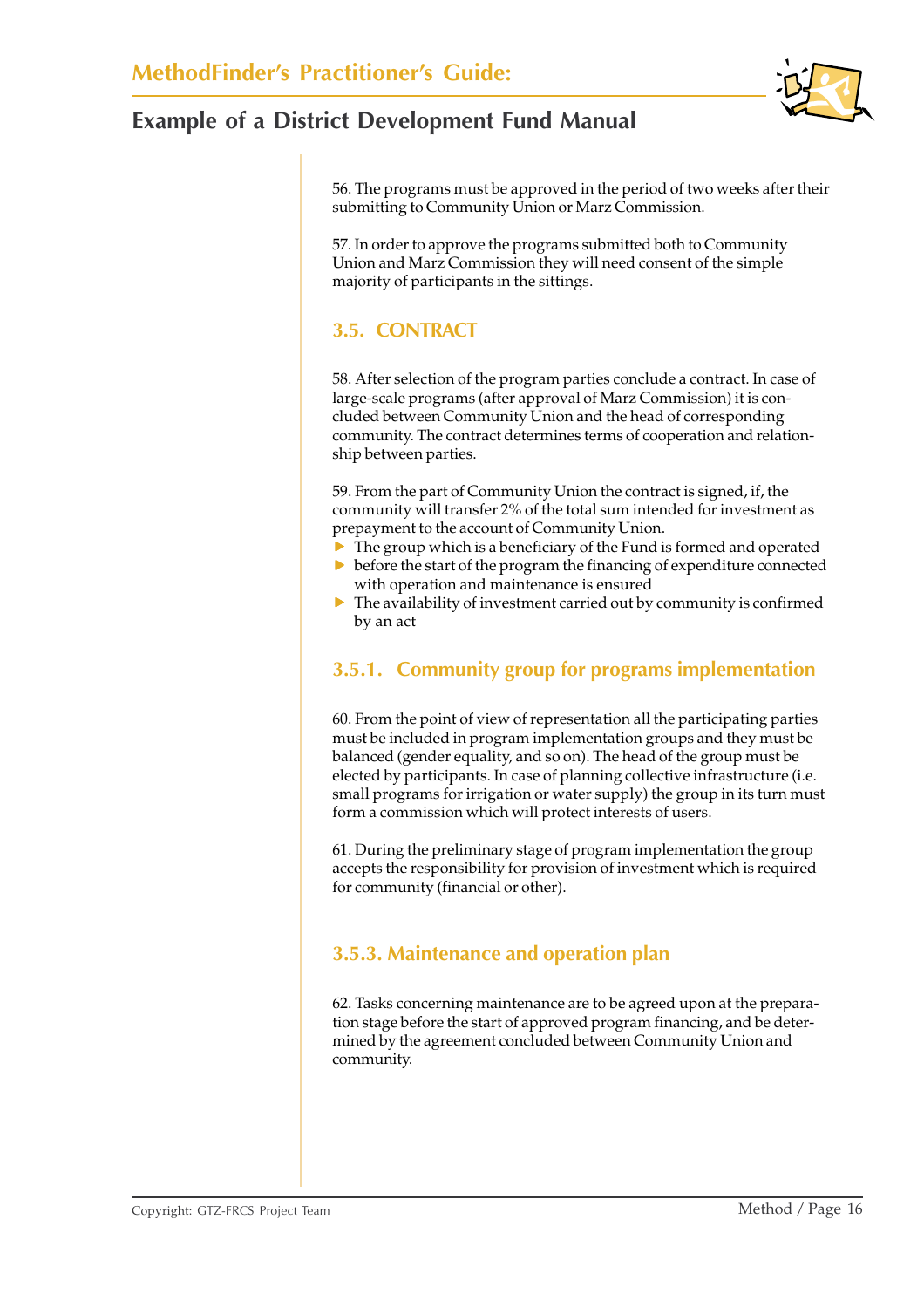56. The programs must be approved in the period of two weeks after their submitting to Community Union or Marz Commission.

57. In order to approve the programs submitted both to Community Union and Marz Commission they will need consent of the simple majority of participants in the sittings.

### **3.5. CONTRACT**

58. After selection of the program parties conclude a contract. In case of large-scale programs (after approval of Marz Commission) it is concluded between Community Union and the head of corresponding community. The contract determines terms of cooperation and relationship between parties.

59. From the part of Community Union the contract is signed, if, the community will transfer 2% of the total sum intended for investment as prepayment to the account of Community Union.

- $\triangleright$  The group which is a beneficiary of the Fund is formed and operated
- $\triangleright$  before the start of the program the financing of expenditure connected with operation and maintenance is ensured
- $\blacktriangleright$  The availability of investment carried out by community is confirmed by an act

### **3.5.1. Community group for programs implementation**

60. From the point of view of representation all the participating parties must be included in program implementation groups and they must be balanced (gender equality, and so on). The head of the group must be elected by participants. In case of planning collective infrastructure (i.e. small programs for irrigation or water supply) the group in its turn must form a commission which will protect interests of users.

61. During the preliminary stage of program implementation the group accepts the responsibility for provision of investment which is required for community (financial or other).

### **3.5.3. Maintenance and operation plan**

62. Tasks concerning maintenance are to be agreed upon at the preparation stage before the start of approved program financing, and be determined by the agreement concluded between Community Union and community.

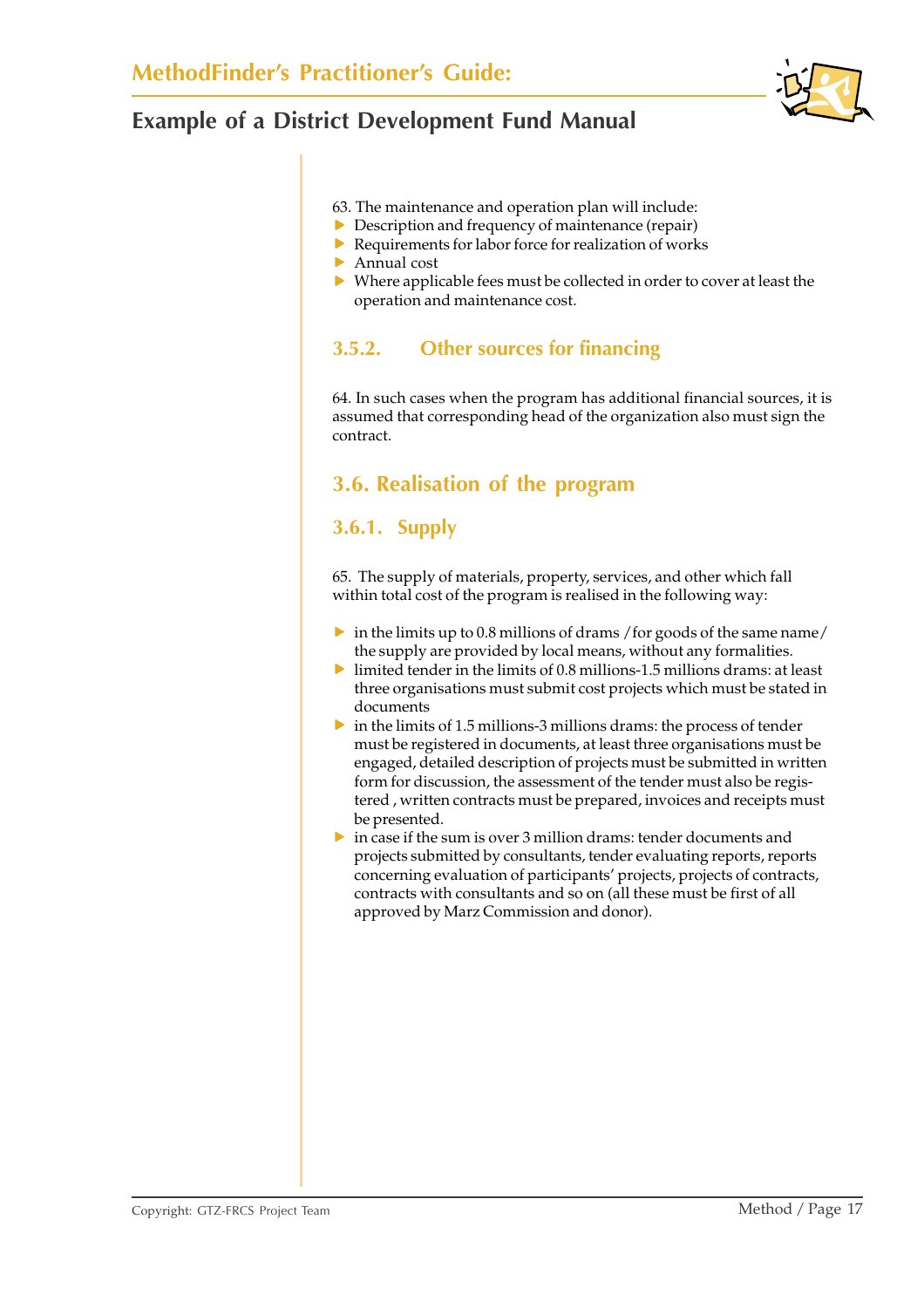

#### 63. The maintenance and operation plan will include:

- $\triangleright$  Description and frequency of maintenance (repair)
- $\blacktriangleright$  Requirements for labor force for realization of works
- $\blacktriangleright$  Annual cost
- $\triangleright$  Where applicable fees must be collected in order to cover at least the operation and maintenance cost.

#### **3.5.2. Other sources for financing**

64. In such cases when the program has additional financial sources, it is assumed that corresponding head of the organization also must sign the contract.

### **3.6. Realisation of the program**

#### **3.6.1. Supply**

65. The supply of materials, property, services, and other which fall within total cost of the program is realised in the following way:

- $\triangleright$  in the limits up to 0.8 millions of drams /for goods of the same name/ the supply are provided by local means, without any formalities.
- $\blacktriangleright$  limited tender in the limits of 0.8 millions-1.5 millions drams: at least three organisations must submit cost projects which must be stated in documents
- $\triangleright$  in the limits of 1.5 millions-3 millions drams: the process of tender must be registered in documents, at least three organisations must be engaged, detailed description of projects must be submitted in written form for discussion, the assessment of the tender must also be registered , written contracts must be prepared, invoices and receipts must be presented.
- $\triangleright$  in case if the sum is over 3 million drams: tender documents and projects submitted by consultants, tender evaluating reports, reports concerning evaluation of participants' projects, projects of contracts, contracts with consultants and so on (all these must be first of all approved by Marz Commission and donor).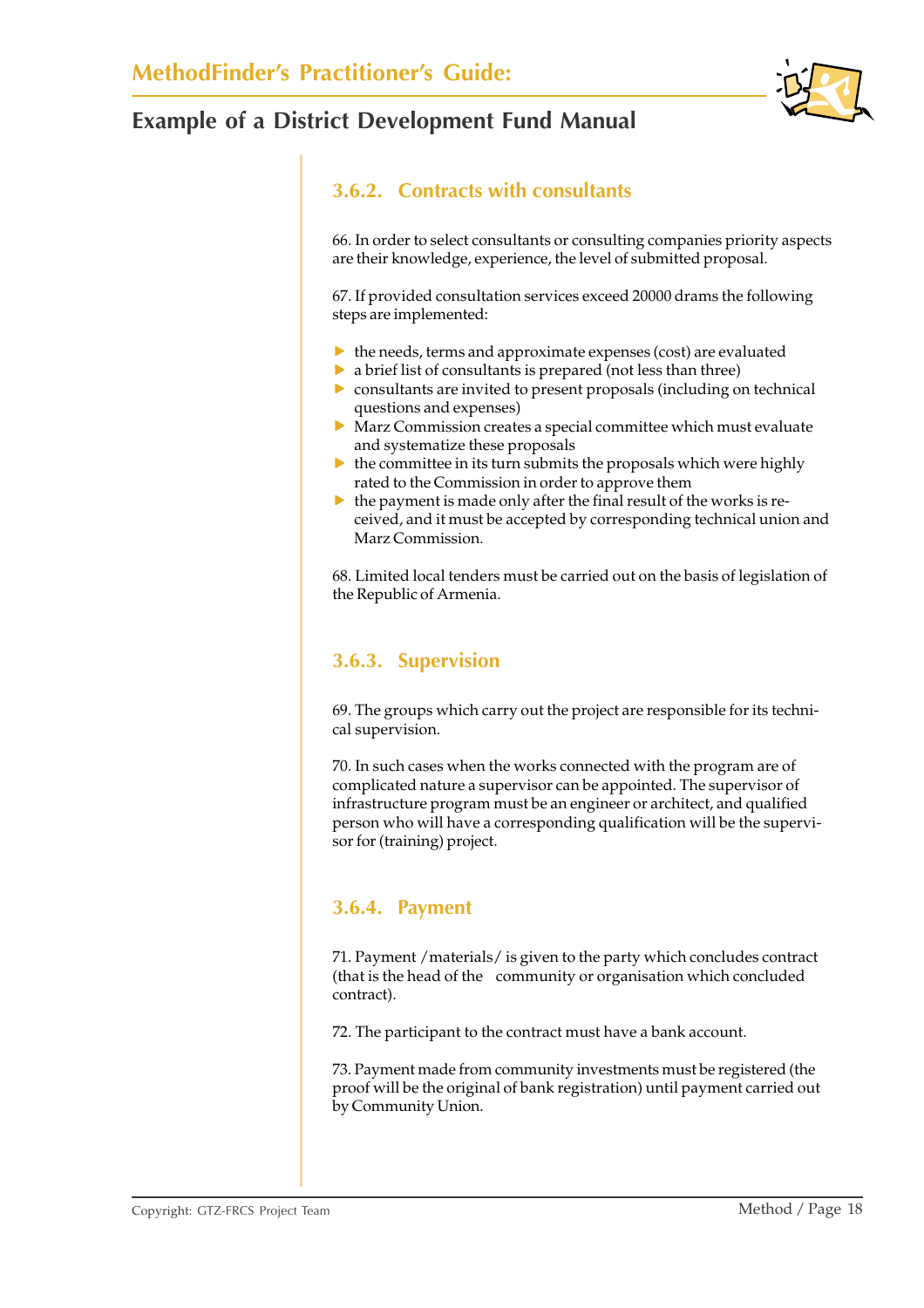

### **3.6.2. Contracts with consultants**

66. In order to select consultants or consulting companies priority aspects are their knowledge, experience, the level of submitted proposal.

67. If provided consultation services exceed 20000 drams the following steps are implemented:

- $\blacktriangleright$  the needs, terms and approximate expenses (cost) are evaluated
- $\triangleright$  a brief list of consultants is prepared (not less than three)
- $\triangleright$  consultants are invited to present proposals (including on technical questions and expenses)
- $\triangleright$  Marz Commission creates a special committee which must evaluate and systematize these proposals
- $\blacktriangleright\;$  the committee in its turn submits the proposals which were highly rated to the Commission in order to approve them
- $\blacktriangleright$  the payment is made only after the final result of the works is received, and it must be accepted by corresponding technical union and Marz Commission.

68. Limited local tenders must be carried out on the basis of legislation of the Republic of Armenia.

### **3.6.3. Supervision**

69. The groups which carry out the project are responsible for its technical supervision.

70. In such cases when the works connected with the program are of complicated nature a supervisor can be appointed. The supervisor of infrastructure program must be an engineer or architect, and qualified person who will have a corresponding qualification will be the supervisor for (training) project.

#### **3.6.4. Payment**

71. Payment /materials/ is given to the party which concludes contract (that is the head of the community or organisation which concluded contract).

72. The participant to the contract must have a bank account.

73. Payment made from community investments must be registered (the proof will be the original of bank registration) until payment carried out by Community Union.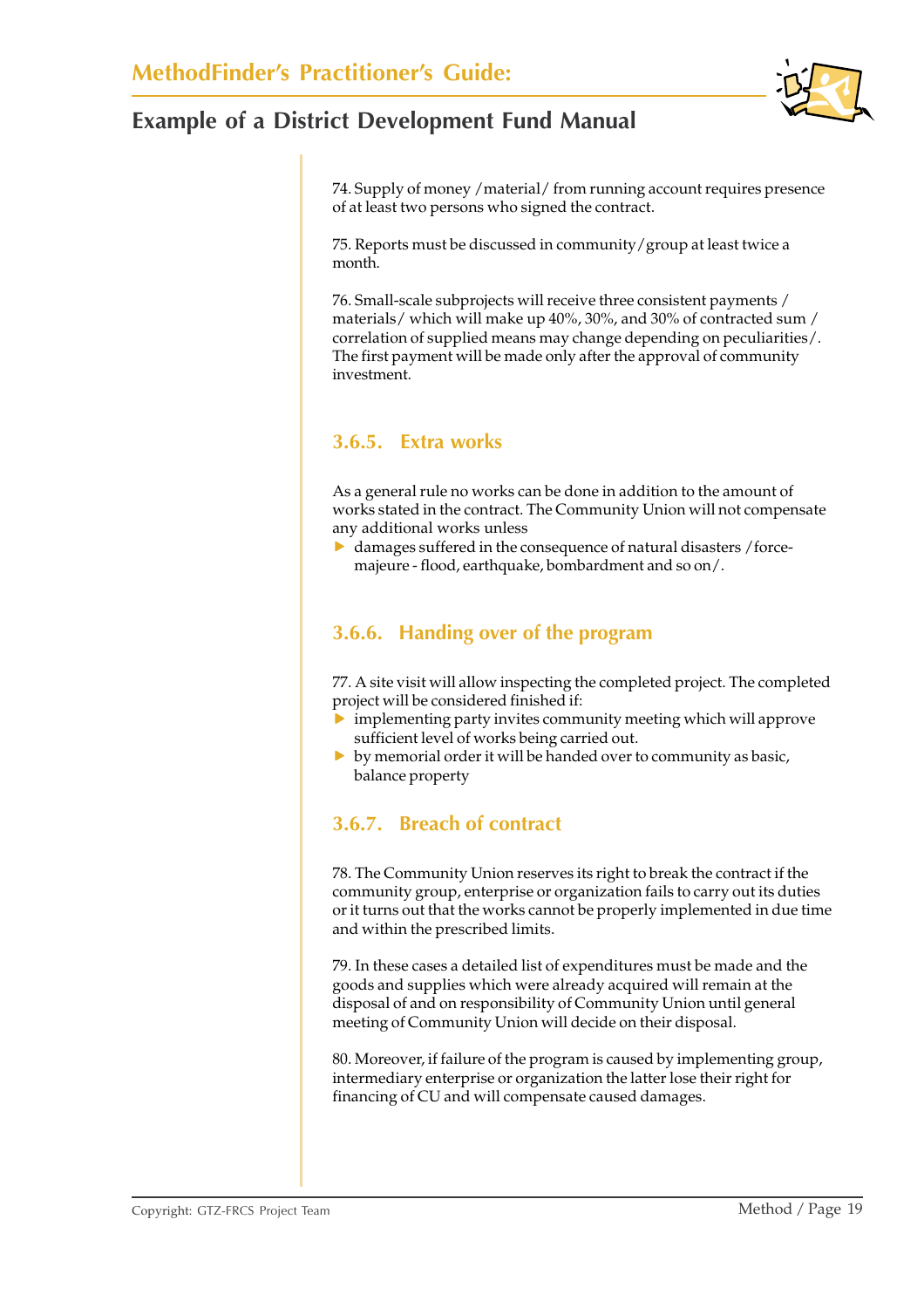74. Supply of money /material/ from running account requires presence of at least two persons who signed the contract.

75. Reports must be discussed in community/group at least twice a month.

76. Small-scale subprojects will receive three consistent payments / materials/ which will make up 40%, 30%, and 30% of contracted sum / correlation of supplied means may change depending on peculiarities/. The first payment will be made only after the approval of community investment.

### **3.6.5. Extra works**

As a general rule no works can be done in addition to the amount of works stated in the contract. The Community Union will not compensate any additional works unless

 $\blacktriangleright$  damages suffered in the consequence of natural disasters /forcemajeure - flood, earthquake, bombardment and so on/.

#### **3.6.6. Handing over of the program**

77. A site visit will allow inspecting the completed project. The completed project will be considered finished if:

- $\triangleright$  implementing party invites community meeting which will approve sufficient level of works being carried out.
- $\triangleright$  by memorial order it will be handed over to community as basic, balance property

### **3.6.7. Breach of contract**

78. The Community Union reserves its right to break the contract if the community group, enterprise or organization fails to carry out its duties or it turns out that the works cannot be properly implemented in due time and within the prescribed limits.

79. In these cases a detailed list of expenditures must be made and the goods and supplies which were already acquired will remain at the disposal of and on responsibility of Community Union until general meeting of Community Union will decide on their disposal.

80. Moreover, if failure of the program is caused by implementing group, intermediary enterprise or organization the latter lose their right for financing of CU and will compensate caused damages.

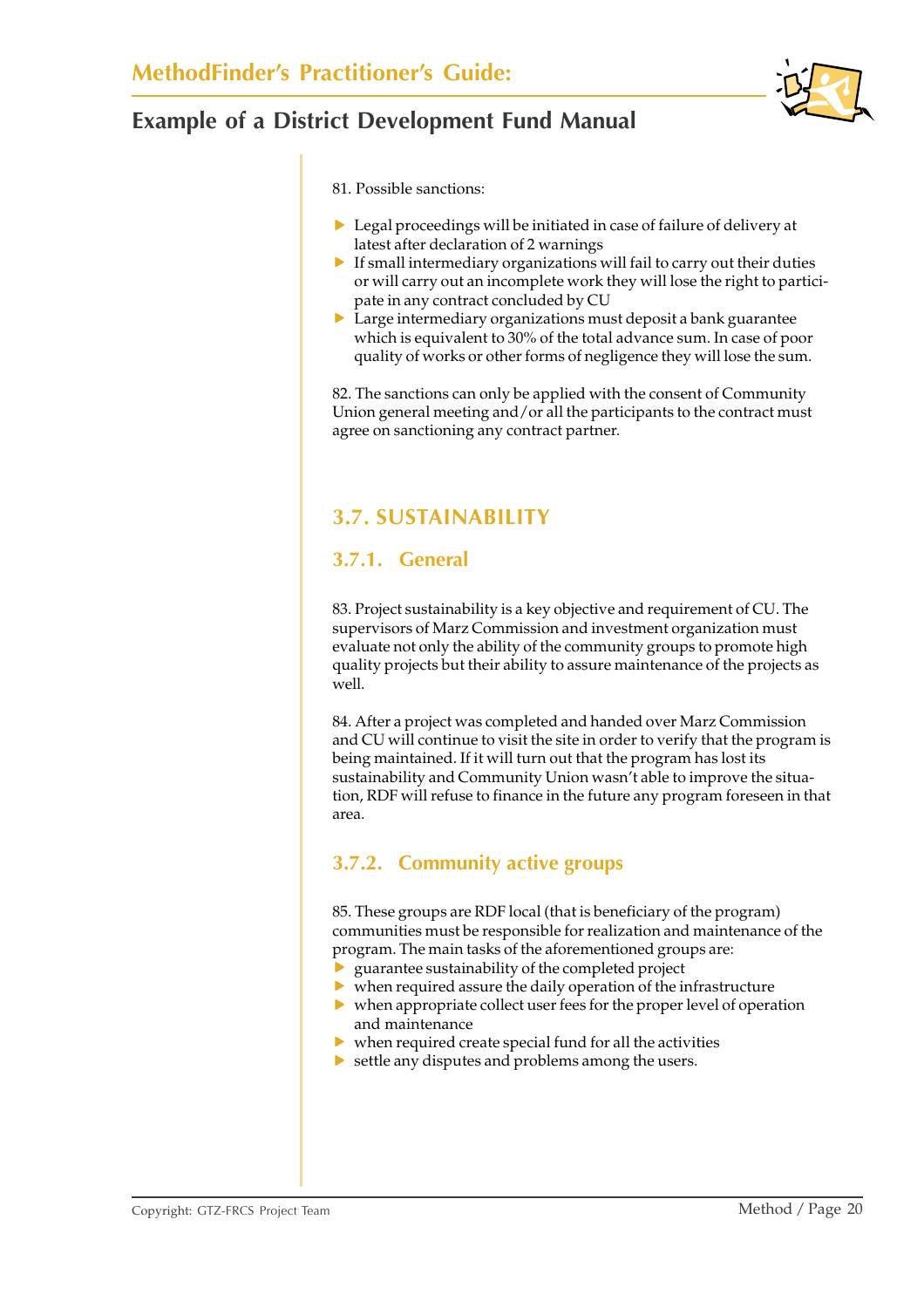

81. Possible sanctions:

- $\triangleright$  Legal proceedings will be initiated in case of failure of delivery at latest after declaration of 2 warnings
- $\blacktriangleright$  If small intermediary organizations will fail to carry out their duties or will carry out an incomplete work they will lose the right to participate in any contract concluded by CU
- $\triangleright$  Large intermediary organizations must deposit a bank guarantee which is equivalent to 30% of the total advance sum. In case of poor quality of works or other forms of negligence they will lose the sum.

82. The sanctions can only be applied with the consent of Community Union general meeting and/or all the participants to the contract must agree on sanctioning any contract partner.

### **3.7. SUSTAINABILITY**

#### **3.7.1. General**

83. Project sustainability is a key objective and requirement of CU. The supervisors of Marz Commission and investment organization must evaluate not only the ability of the community groups to promote high quality projects but their ability to assure maintenance of the projects as well.

84. After a project was completed and handed over Marz Commission and CU will continue to visit the site in order to verify that the program is being maintained. If it will turn out that the program has lost its sustainability and Community Union wasn't able to improve the situation, RDF will refuse to finance in the future any program foreseen in that area.

### **3.7.2. Community active groups**

85. These groups are RDF local (that is beneficiary of the program) communities must be responsible for realization and maintenance of the program. The main tasks of the aforementioned groups are:

- guarantee sustainability of the completed project
- $\triangleright$  when required assure the daily operation of the infrastructure
- $\triangleright$  when appropriate collect user fees for the proper level of operation and maintenance
- $\blacktriangleright$  when required create special fund for all the activities
- $\blacktriangleright$  settle any disputes and problems among the users.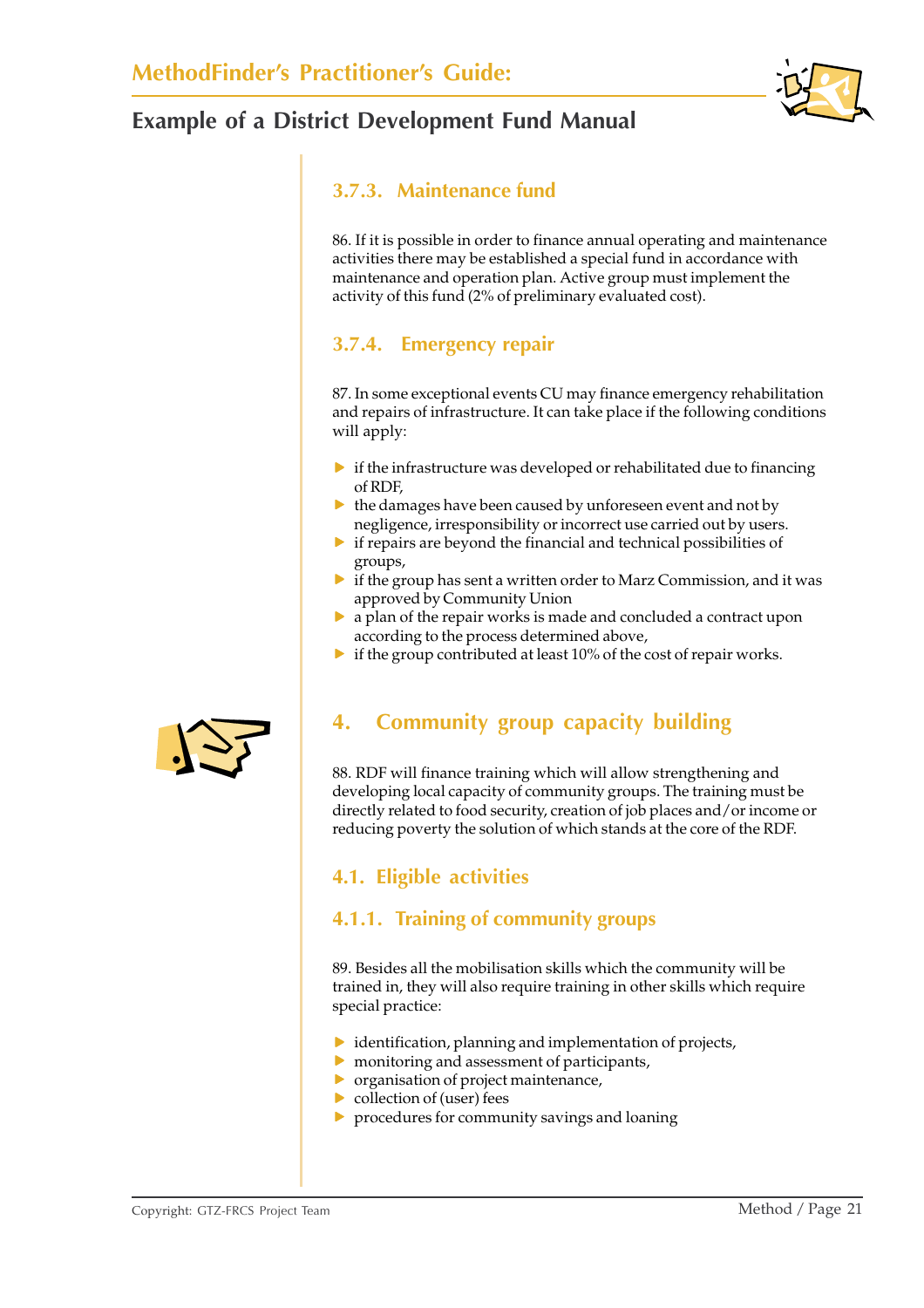

### **3.7.3. Maintenance fund**

86. If it is possible in order to finance annual operating and maintenance activities there may be established a special fund in accordance with maintenance and operation plan. Active group must implement the activity of this fund (2% of preliminary evaluated cost).

### **3.7.4. Emergency repair**

87. In some exceptional events CU may finance emergency rehabilitation and repairs of infrastructure. It can take place if the following conditions will apply:

- $\triangleright$  if the infrastructure was developed or rehabilitated due to financing of RDF,
- $\blacktriangleright$  the damages have been caused by unforeseen event and not by negligence, irresponsibility or incorrect use carried out by users.
- $\triangleright$  if repairs are beyond the financial and technical possibilities of groups,
- $\blacktriangleright$  if the group has sent a written order to Marz Commission, and it was approved by Community Union
- $\triangleright$  a plan of the repair works is made and concluded a contract upon according to the process determined above,
- $\triangleright$  if the group contributed at least 10% of the cost of repair works.



88. RDF will finance training which will allow strengthening and developing local capacity of community groups. The training must be directly related to food security, creation of job places and/or income or reducing poverty the solution of which stands at the core of the RDF.

### **4.1. Eligible activities**

#### **4.1.1. Training of community groups**

89. Besides all the mobilisation skills which the community will be trained in, they will also require training in other skills which require special practice:

- $\triangleright$  identification, planning and implementation of projects,
- $\triangleright$  monitoring and assessment of participants,
- $\triangleright$  organisation of project maintenance,
- $\triangleright$  collection of (user) fees
- $\triangleright$  procedures for community savings and loaning

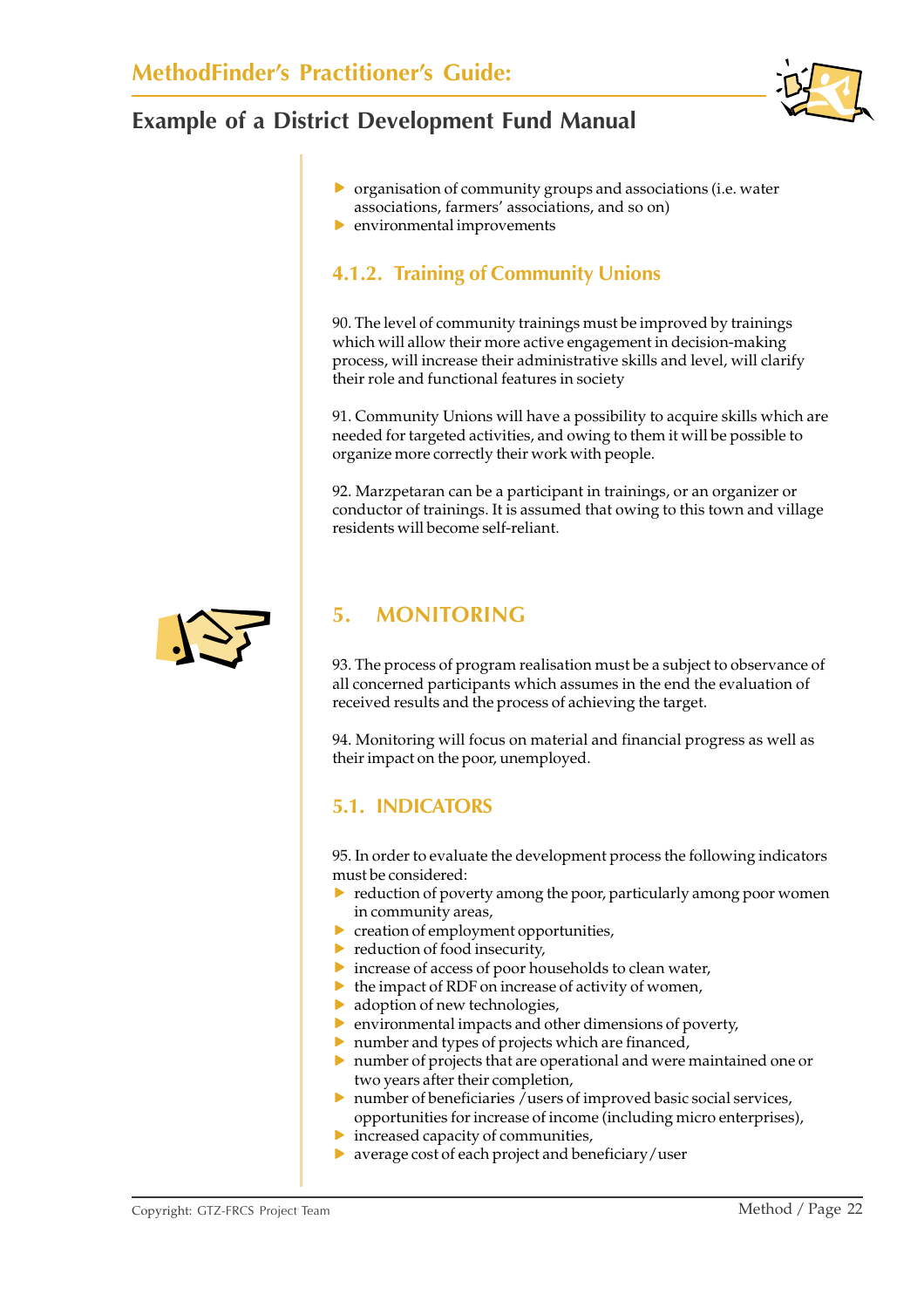

- $\triangleright$  organisation of community groups and associations (i.e. water associations, farmers' associations, and so on)
- $\blacktriangleright$  environmental improvements

### **4.1.2. Training of Community Unions**

90. The level of community trainings must be improved by trainings which will allow their more active engagement in decision-making process, will increase their administrative skills and level, will clarify their role and functional features in society

91. Community Unions will have a possibility to acquire skills which are needed for targeted activities, and owing to them it will be possible to organize more correctly their work with people.

92. Marzpetaran can be a participant in trainings, or an organizer or conductor of trainings. It is assumed that owing to this town and village residents will become self-reliant.



### **5. MONITORING**

93. The process of program realisation must be a subject to observance of all concerned participants which assumes in the end the evaluation of received results and the process of achieving the target.

94. Monitoring will focus on material and financial progress as well as their impact on the poor, unemployed.

### **5.1. INDICATORS**

95. In order to evaluate the development process the following indicators must be considered:

- $\triangleright$  reduction of poverty among the poor, particularly among poor women in community areas,
- $\blacktriangleright$  creation of employment opportunities,
- $\blacktriangleright$  reduction of food insecurity,
- $\triangleright$  increase of access of poor households to clean water,
- $\blacktriangleright$  the impact of RDF on increase of activity of women,
- $\blacktriangleright$  adoption of new technologies,
- $\triangleright$  environmental impacts and other dimensions of poverty,
- $\blacktriangleright$  number and types of projects which are financed,
- $\triangleright$  number of projects that are operational and were maintained one or two years after their completion,
- $\triangleright$  number of beneficiaries /users of improved basic social services, opportunities for increase of income (including micro enterprises),
- $\blacktriangleright$  increased capacity of communities,
- $\blacktriangleright$  average cost of each project and beneficiary/user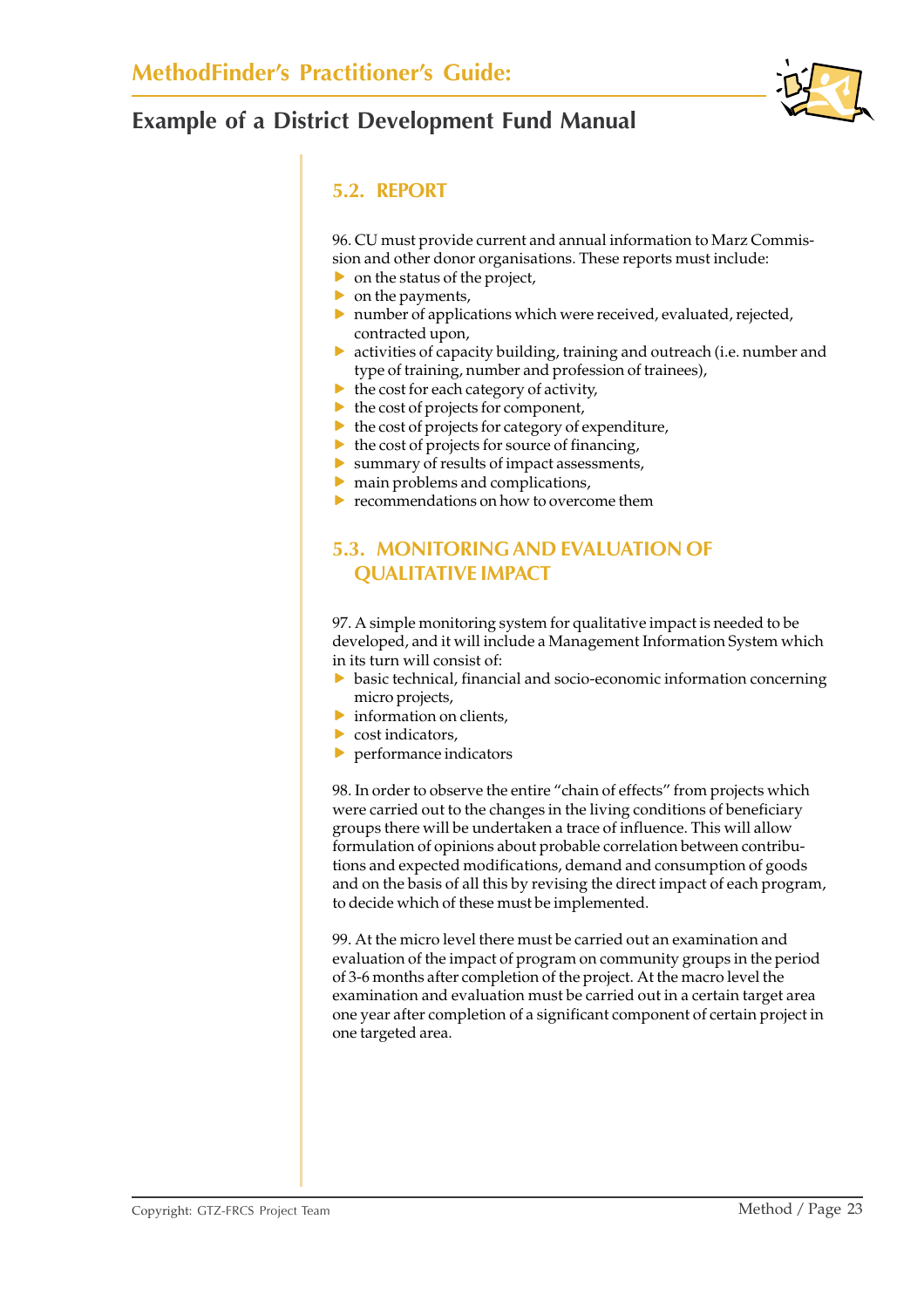

#### **5.2. REPORT**

96. CU must provide current and annual information to Marz Commission and other donor organisations. These reports must include:

- $\triangleright$  on the status of the project,
- $\triangleright$  on the payments,
- $\blacktriangleright$  number of applications which were received, evaluated, rejected, contracted upon,
- $\triangleright$  activities of capacity building, training and outreach (i.e. number and type of training, number and profession of trainees),
- $\blacktriangleright$  the cost for each category of activity,
- $\blacktriangleright$  the cost of projects for component,
- $\blacktriangleright$  the cost of projects for category of expenditure,
- $\blacktriangleright$  the cost of projects for source of financing,
- $\blacktriangleright$  summary of results of impact assessments,
- $\blacktriangleright$  main problems and complications,
- $\blacktriangleright$  recommendations on how to overcome them

#### **5.3. MONITORING AND EVALUATION OF QUALITATIVE IMPACT**

97. A simple monitoring system for qualitative impact is needed to be developed, and it will include a Management Information System which in its turn will consist of:

- $\triangleright$  basic technical, financial and socio-economic information concerning micro projects,
- $\blacktriangleright$  information on clients,
- $\triangleright$  cost indicators.
- $\blacktriangleright$  performance indicators

98. In order to observe the entire "chain of effects" from projects which were carried out to the changes in the living conditions of beneficiary groups there will be undertaken a trace of influence. This will allow formulation of opinions about probable correlation between contributions and expected modifications, demand and consumption of goods and on the basis of all this by revising the direct impact of each program, to decide which of these must be implemented.

99. At the micro level there must be carried out an examination and evaluation of the impact of program on community groups in the period of 3-6 months after completion of the project. At the macro level the examination and evaluation must be carried out in a certain target area one year after completion of a significant component of certain project in one targeted area.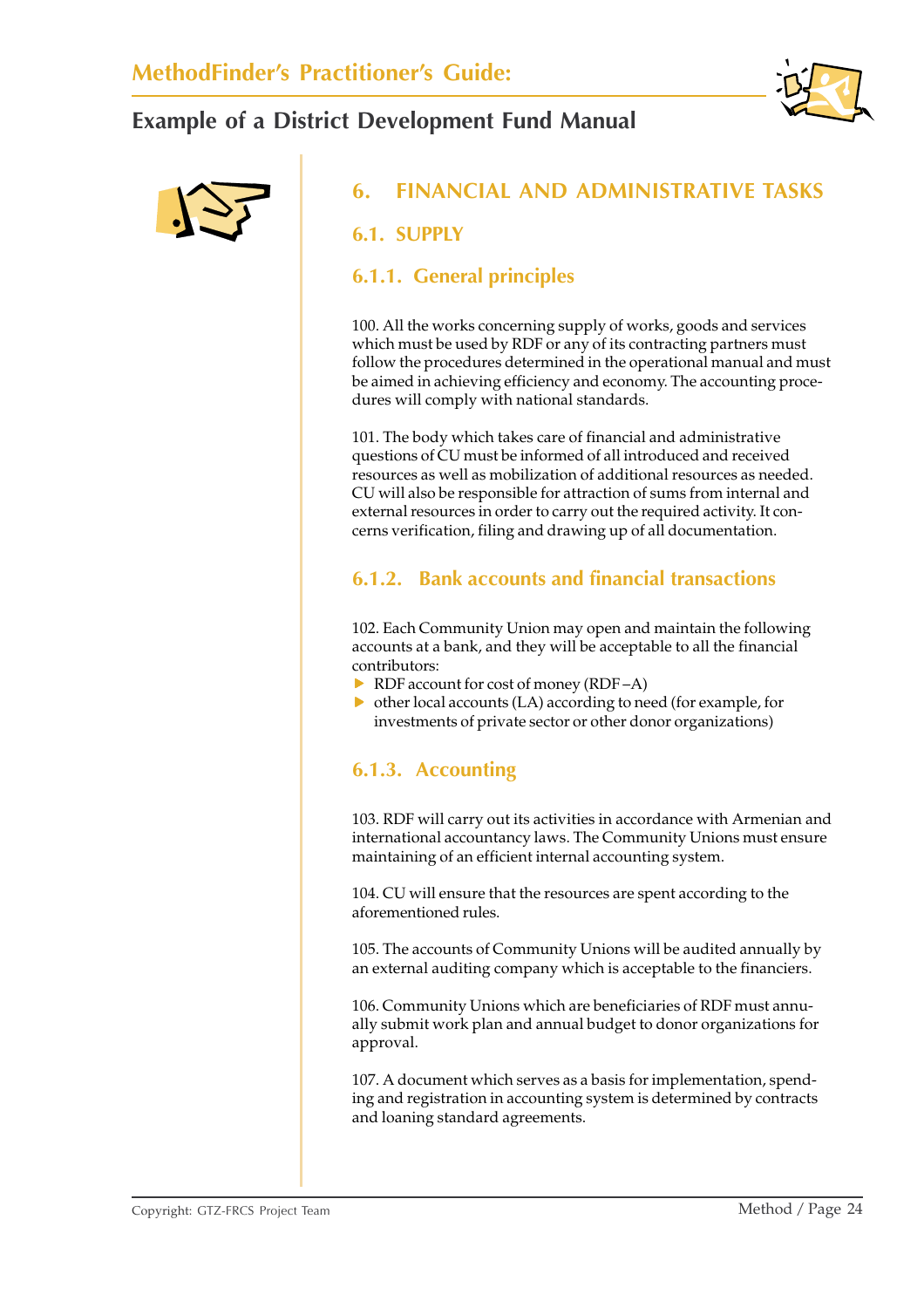



### **6. FINANCIAL AND ADMINISTRATIVE TASKS**

#### **6.1. SUPPLY**

#### **6.1.1. General principles**

100. All the works concerning supply of works, goods and services which must be used by RDF or any of its contracting partners must follow the procedures determined in the operational manual and must be aimed in achieving efficiency and economy. The accounting procedures will comply with national standards.

101. The body which takes care of financial and administrative questions of CU must be informed of all introduced and received resources as well as mobilization of additional resources as needed. CU will also be responsible for attraction of sums from internal and external resources in order to carry out the required activity. It concerns verification, filing and drawing up of all documentation.

#### **6.1.2. Bank accounts and financial transactions**

102. Each Community Union may open and maintain the following accounts at a bank, and they will be acceptable to all the financial contributors:

- $\triangleright$  RDF account for cost of money (RDF –A)
- $\triangleright$  other local accounts (LA) according to need (for example, for investments of private sector or other donor organizations)

#### **6.1.3. Accounting**

103. RDF will carry out its activities in accordance with Armenian and international accountancy laws. The Community Unions must ensure maintaining of an efficient internal accounting system.

104. CU will ensure that the resources are spent according to the aforementioned rules.

105. The accounts of Community Unions will be audited annually by an external auditing company which is acceptable to the financiers.

106. Community Unions which are beneficiaries of RDF must annually submit work plan and annual budget to donor organizations for approval.

107. A document which serves as a basis for implementation, spending and registration in accounting system is determined by contracts and loaning standard agreements.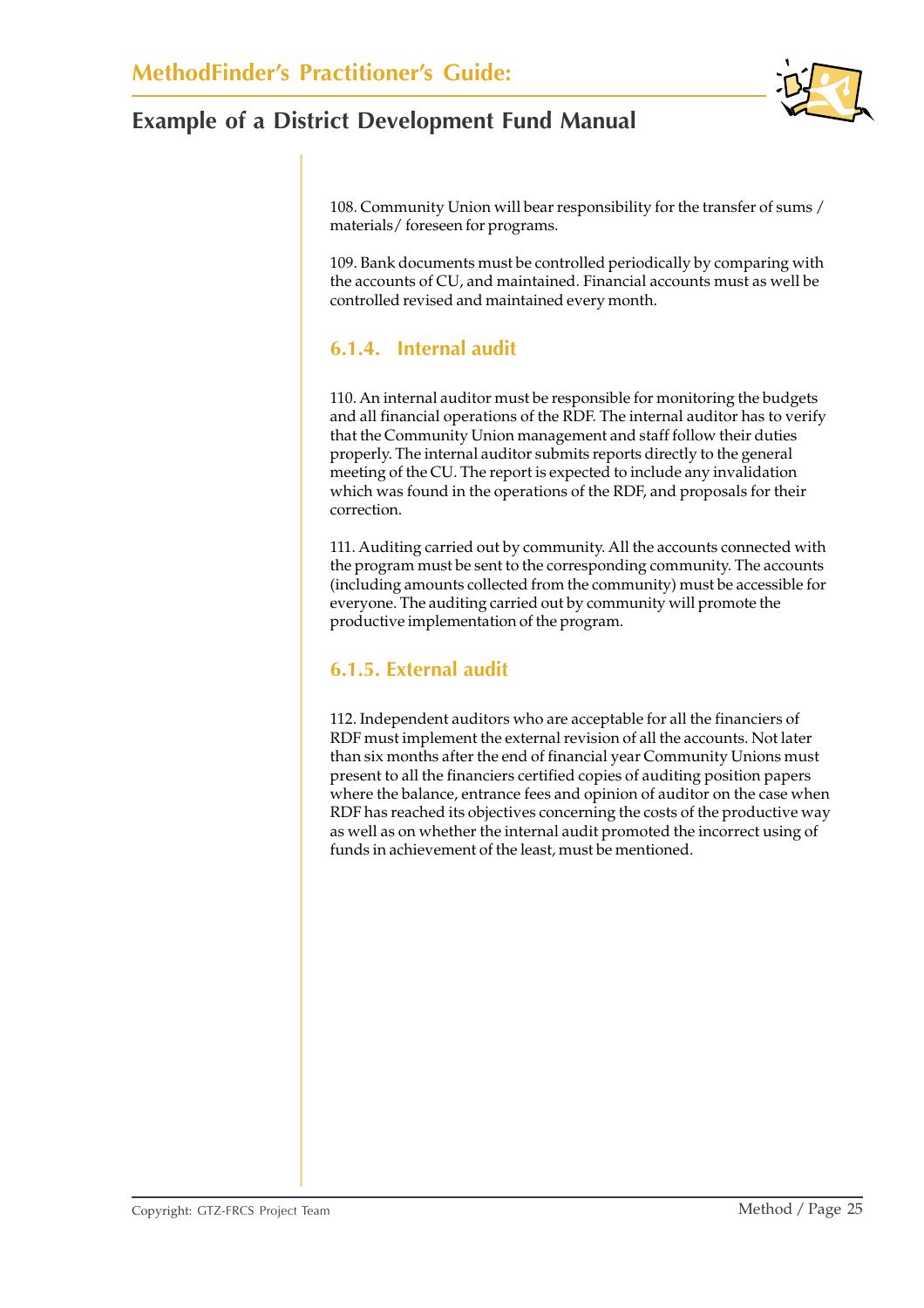108. Community Union will bear responsibility for the transfer of sums / materials/ foreseen for programs.

109. Bank documents must be controlled periodically by comparing with the accounts of CU, and maintained. Financial accounts must as well be controlled revised and maintained every month.

### **6.1.4. Internal audit**

110. An internal auditor must be responsible for monitoring the budgets and all financial operations of the RDF. The internal auditor has to verify that the Community Union management and staff follow their duties properly. The internal auditor submits reports directly to the general meeting of the CU. The report is expected to include any invalidation which was found in the operations of the RDF, and proposals for their correction.

111. Auditing carried out by community. All the accounts connected with the program must be sent to the corresponding community. The accounts (including amounts collected from the community) must be accessible for everyone. The auditing carried out by community will promote the productive implementation of the program.

#### **6.1.5. External audit**

112. Independent auditors who are acceptable for all the financiers of RDF must implement the external revision of all the accounts. Not later than six months after the end of financial year Community Unions must present to all the financiers certified copies of auditing position papers where the balance, entrance fees and opinion of auditor on the case when RDF has reached its objectives concerning the costs of the productive way as well as on whether the internal audit promoted the incorrect using of funds in achievement of the least, must be mentioned.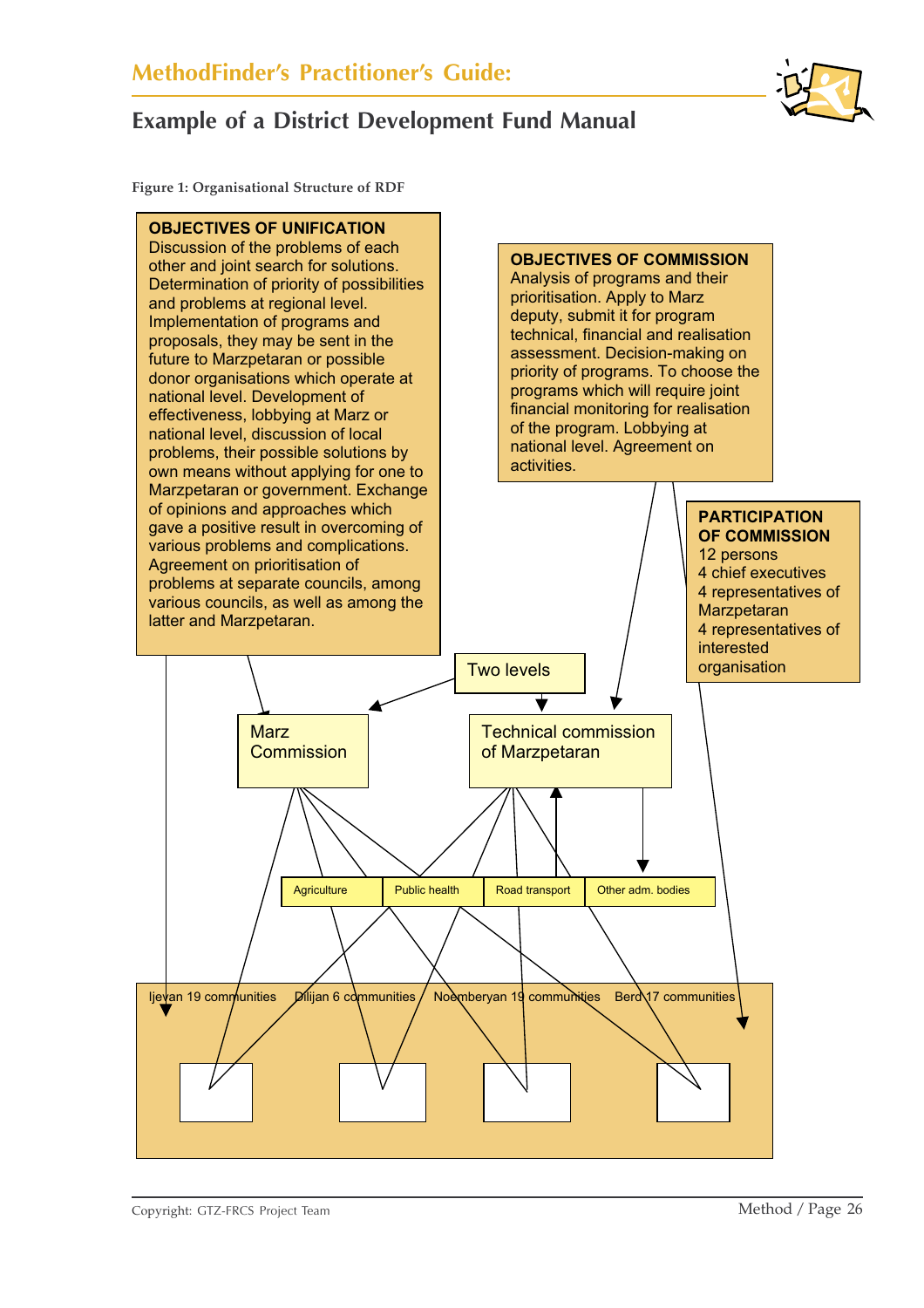**Figure 1: Organisational Structure of RDF**

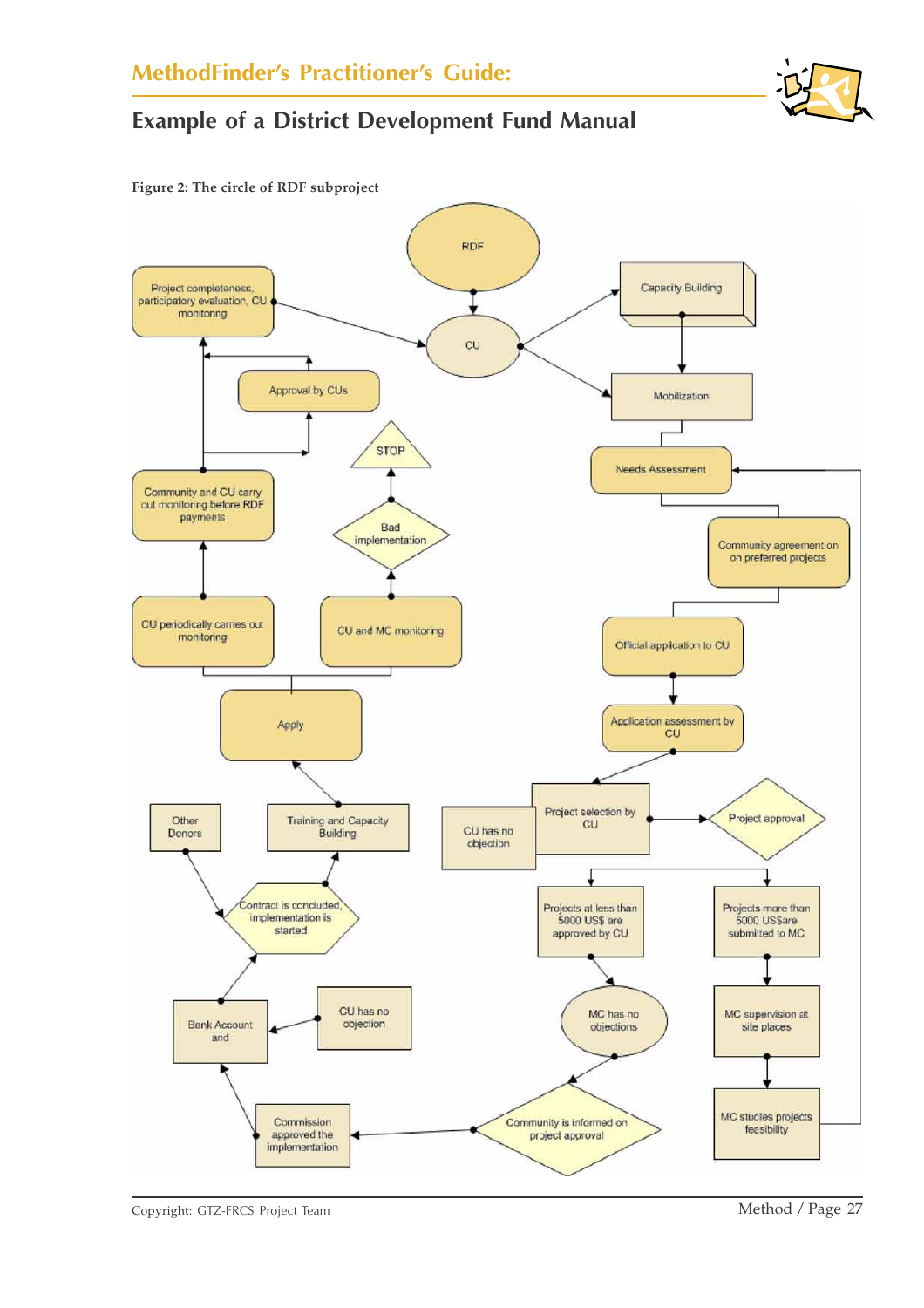



Copyright: GTZ-FRCS Project Team Method / Page 27

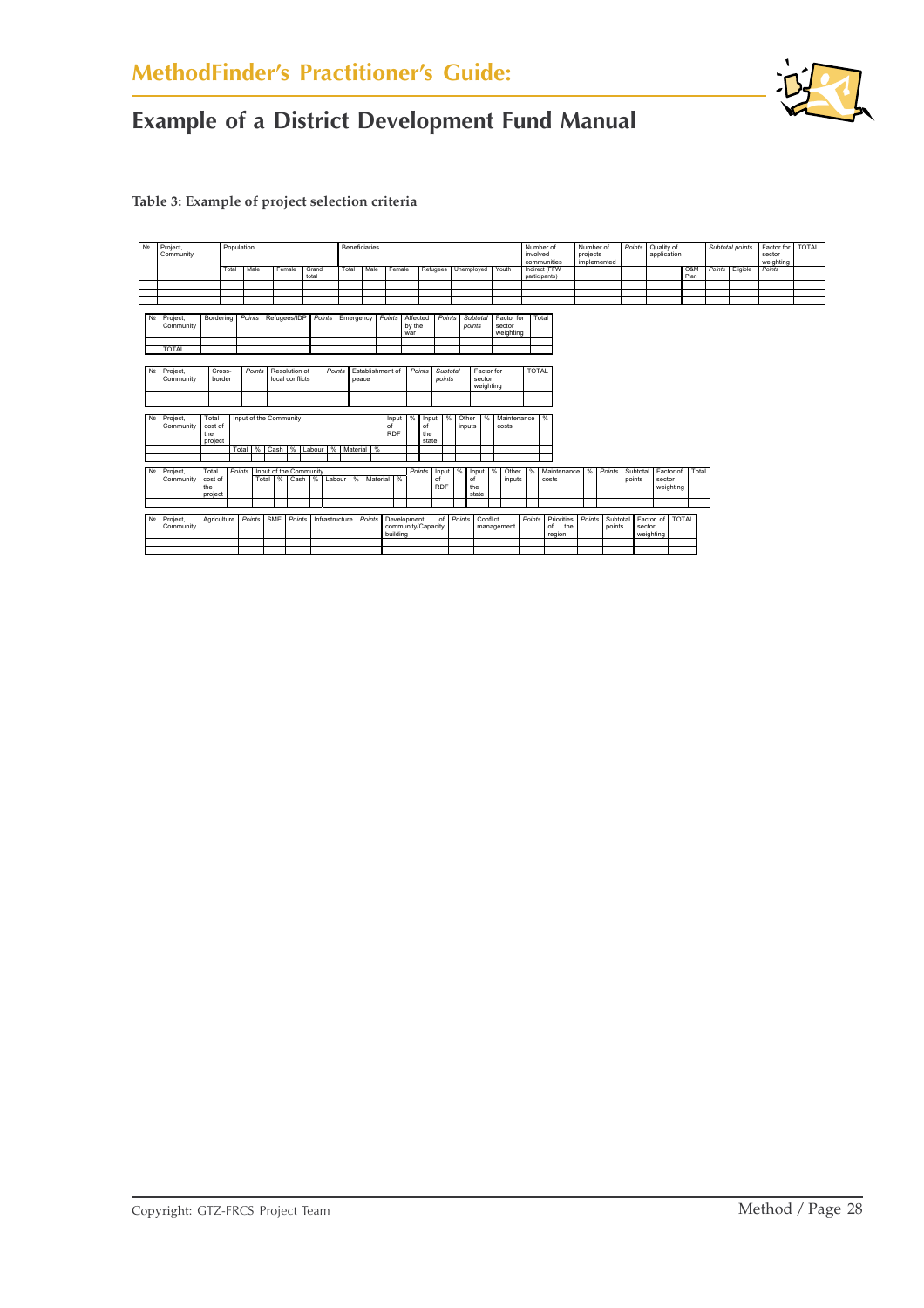

**Table 3: Example of project selection criteria**